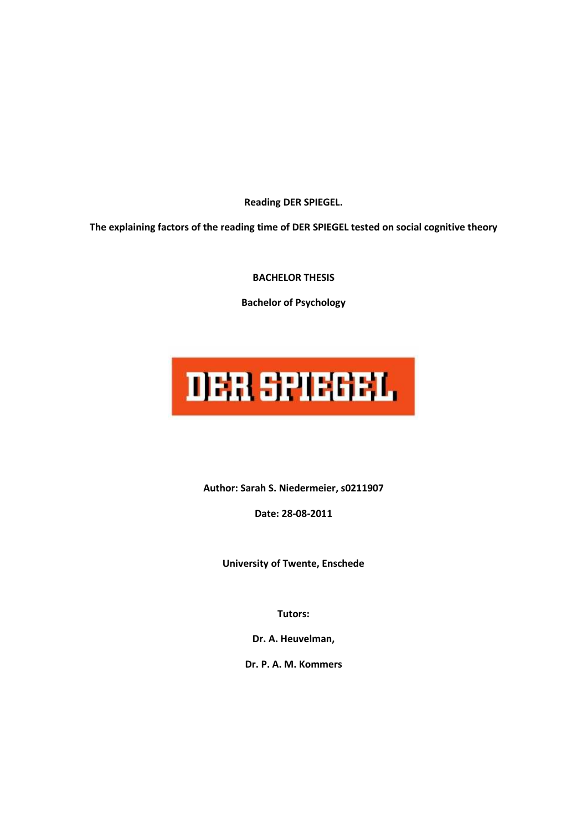**Reading DER SPIEGEL.** 

**The explaining factors of the reading time of DER SPIEGEL tested on social cognitive theory** 

**BACHELOR THESIS** 

**Bachelor of Psychology** 

# **DER SPIEGEL**

**Author: Sarah S. Niedermeier, s0211907** 

**Date: 28-08-2011** 

**University of Twente, Enschede** 

**Tutors:** 

**Dr. A. Heuvelman,** 

**Dr. P. A. M. Kommers**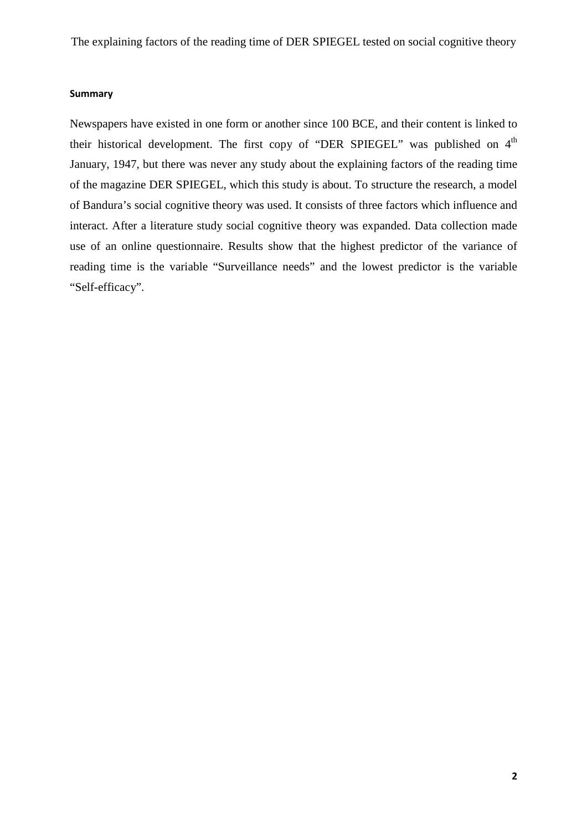#### **Summary**

Newspapers have existed in one form or another since 100 BCE, and their content is linked to their historical development. The first copy of "DER SPIEGEL" was published on  $4<sup>th</sup>$ January, 1947, but there was never any study about the explaining factors of the reading time of the magazine DER SPIEGEL, which this study is about. To structure the research, a model of Bandura's social cognitive theory was used. It consists of three factors which influence and interact. After a literature study social cognitive theory was expanded. Data collection made use of an online questionnaire. Results show that the highest predictor of the variance of reading time is the variable "Surveillance needs" and the lowest predictor is the variable "Self-efficacy".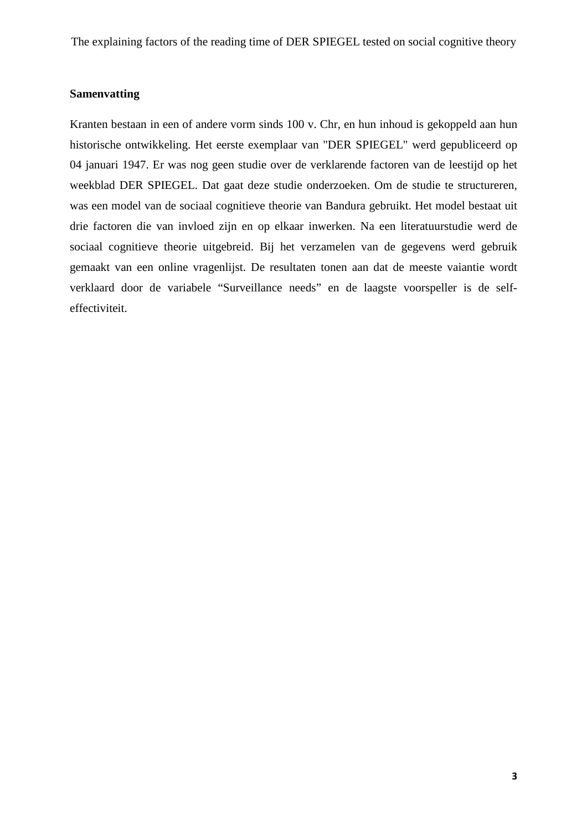# **Samenvatting**

Kranten bestaan in een of andere vorm sinds 100 v. Chr, en hun inhoud is gekoppeld aan hun historische ontwikkeling. Het eerste exemplaar van "DER SPIEGEL" werd gepubliceerd op 04 januari 1947. Er was nog geen studie over de verklarende factoren van de leestijd op het weekblad DER SPIEGEL. Dat gaat deze studie onderzoeken. Om de studie te structureren, was een model van de sociaal cognitieve theorie van Bandura gebruikt. Het model bestaat uit drie factoren die van invloed zijn en op elkaar inwerken. Na een literatuurstudie werd de sociaal cognitieve theorie uitgebreid. Bij het verzamelen van de gegevens werd gebruik gemaakt van een online vragenlijst. De resultaten tonen aan dat de meeste vaiantie wordt verklaard door de variabele "Surveillance needs" en de laagste voorspeller is de selfeffectiviteit.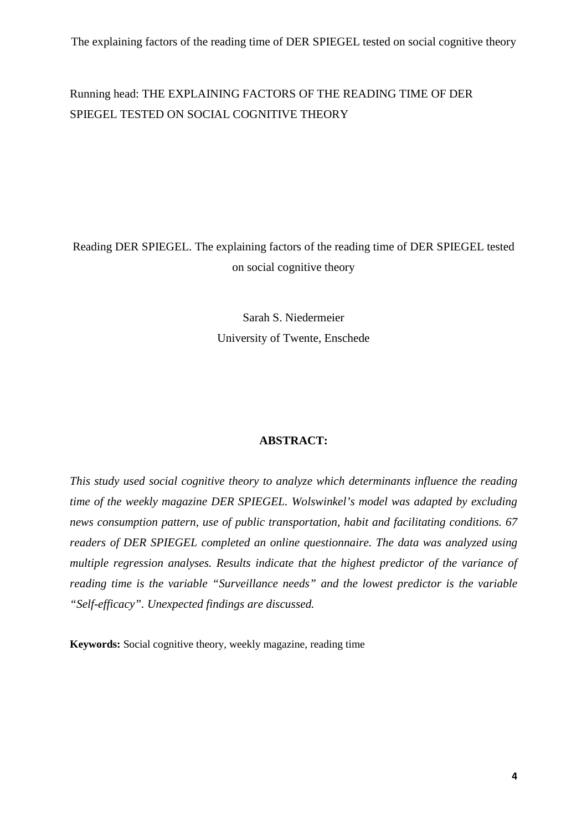# Running head: THE EXPLAINING FACTORS OF THE READING TIME OF DER SPIEGEL TESTED ON SOCIAL COGNITIVE THEORY

# Reading DER SPIEGEL. The explaining factors of the reading time of DER SPIEGEL tested on social cognitive theory

Sarah S. Niedermeier University of Twente, Enschede

# **ABSTRACT:**

*This study used social cognitive theory to analyze which determinants influence the reading time of the weekly magazine DER SPIEGEL. Wolswinkel's model was adapted by excluding news consumption pattern, use of public transportation, habit and facilitating conditions. 67 readers of DER SPIEGEL completed an online questionnaire. The data was analyzed using multiple regression analyses. Results indicate that the highest predictor of the variance of reading time is the variable "Surveillance needs" and the lowest predictor is the variable "Self-efficacy". Unexpected findings are discussed.*

**Keywords:** Social cognitive theory, weekly magazine, reading time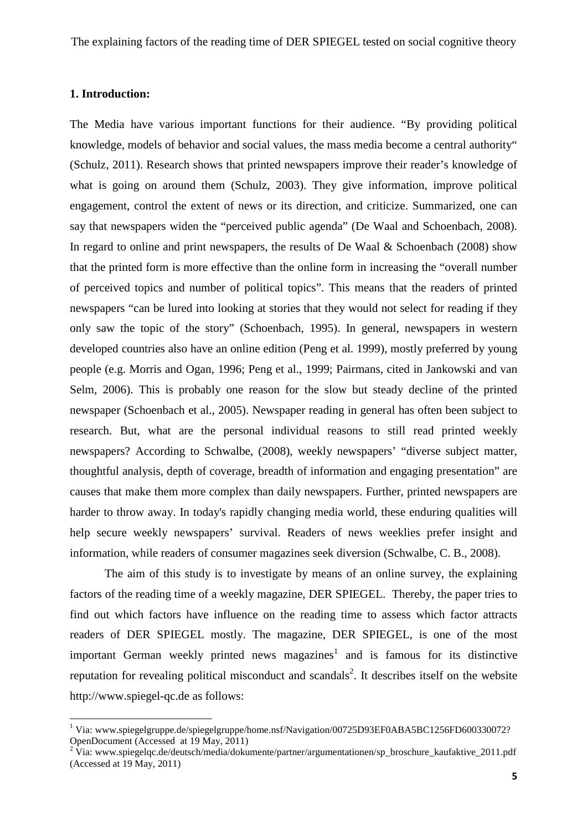#### **1. Introduction:**

 $\overline{a}$ 

The Media have various important functions for their audience. "By providing political knowledge, models of behavior and social values, the mass media become a central authority" (Schulz, 2011). Research shows that printed newspapers improve their reader's knowledge of what is going on around them (Schulz, 2003). They give information, improve political engagement, control the extent of news or its direction, and criticize. Summarized, one can say that newspapers widen the "perceived public agenda" (De Waal and Schoenbach, 2008). In regard to online and print newspapers, the results of De Waal & Schoenbach (2008) show that the printed form is more effective than the online form in increasing the "overall number of perceived topics and number of political topics". This means that the readers of printed newspapers "can be lured into looking at stories that they would not select for reading if they only saw the topic of the story" (Schoenbach, 1995). In general, newspapers in western developed countries also have an online edition (Peng et al. 1999), mostly preferred by young people (e.g. Morris and Ogan, 1996; Peng et al., 1999; Pairmans, cited in Jankowski and van Selm, 2006). This is probably one reason for the slow but steady decline of the printed newspaper (Schoenbach et al., 2005). Newspaper reading in general has often been subject to research. But, what are the personal individual reasons to still read printed weekly newspapers? According to Schwalbe, (2008), weekly newspapers' "diverse subject matter, thoughtful analysis, depth of coverage, breadth of information and engaging presentation" are causes that make them more complex than daily newspapers. Further, printed newspapers are harder to throw away. In today's rapidly changing media world, these enduring qualities will help secure weekly newspapers' survival. Readers of news weeklies prefer insight and information, while readers of consumer magazines seek diversion (Schwalbe, C. B., 2008).

The aim of this study is to investigate by means of an online survey, the explaining factors of the reading time of a weekly magazine, DER SPIEGEL. Thereby, the paper tries to find out which factors have influence on the reading time to assess which factor attracts readers of DER SPIEGEL mostly. The magazine, DER SPIEGEL, is one of the most important German weekly printed news magazines<sup>1</sup> and is famous for its distinctive reputation for revealing political misconduct and scandals<sup>2</sup>. It describes itself on the website http://www.spiegel-qc.de as follows:

<sup>&</sup>lt;sup>1</sup> Via: www.spiegelgruppe.de/spiegelgruppe/home.nsf/Navigation/00725D93EF0ABA5BC1256FD600330072? OpenDocument (Accessed at 19 May, 2011)

<sup>&</sup>lt;sup>2</sup> Via: www.spiegelqc.de/deutsch/media/dokumente/partner/argumentationen/sp\_broschure\_kaufaktive\_2011.pdf (Accessed at 19 May, 2011)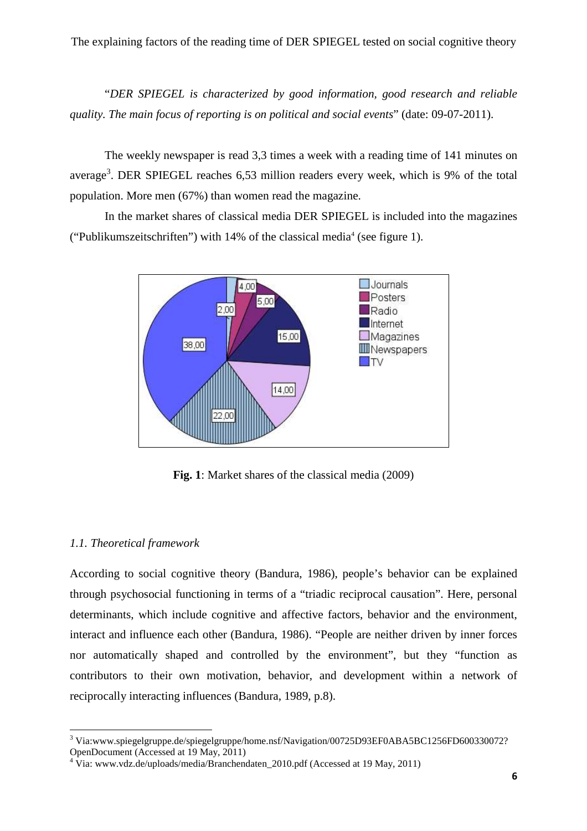"*DER SPIEGEL is characterized by good information, good research and reliable quality. The main focus of reporting is on political and social events*" (date: 09-07-2011).

The weekly newspaper is read 3,3 times a week with a reading time of 141 minutes on average<sup>3</sup>. DER SPIEGEL reaches 6,53 million readers every week, which is 9% of the total population. More men (67%) than women read the magazine.

In the market shares of classical media DER SPIEGEL is included into the magazines ("Publikumszeitschriften") with  $14\%$  of the classical media<sup>4</sup> (see figure 1).



**Fig. 1**: Market shares of the classical media (2009)

# *1.1. Theoretical framework*

 $\overline{a}$ 

According to social cognitive theory (Bandura, 1986), people's behavior can be explained through psychosocial functioning in terms of a "triadic reciprocal causation". Here, personal determinants, which include cognitive and affective factors, behavior and the environment, interact and influence each other (Bandura, 1986). "People are neither driven by inner forces nor automatically shaped and controlled by the environment", but they "function as contributors to their own motivation, behavior, and development within a network of reciprocally interacting influences (Bandura, 1989, p.8).

<sup>&</sup>lt;sup>3</sup> Via:www.spiegelgruppe.de/spiegelgruppe/home.nsf/Navigation/00725D93EF0ABA5BC1256FD600330072? OpenDocument (Accessed at 19 May, 2011)

<sup>&</sup>lt;sup>4</sup> Via: www.vdz.de/uploads/media/Branchendaten\_2010.pdf (Accessed at 19 May, 2011)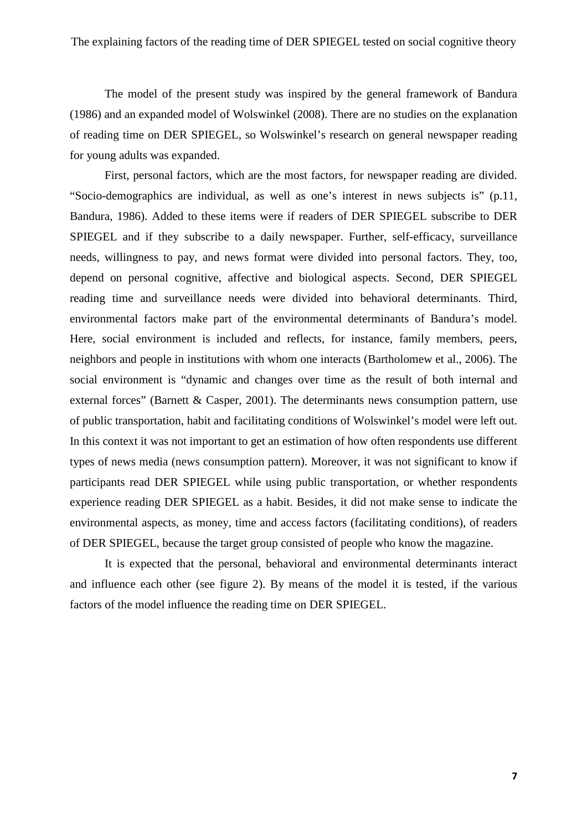The model of the present study was inspired by the general framework of Bandura (1986) and an expanded model of Wolswinkel (2008). There are no studies on the explanation of reading time on DER SPIEGEL, so Wolswinkel's research on general newspaper reading for young adults was expanded.

First, personal factors, which are the most factors, for newspaper reading are divided. "Socio-demographics are individual, as well as one's interest in news subjects is" (p.11, Bandura, 1986). Added to these items were if readers of DER SPIEGEL subscribe to DER SPIEGEL and if they subscribe to a daily newspaper. Further, self-efficacy, surveillance needs, willingness to pay, and news format were divided into personal factors. They, too, depend on personal cognitive, affective and biological aspects. Second, DER SPIEGEL reading time and surveillance needs were divided into behavioral determinants. Third, environmental factors make part of the environmental determinants of Bandura's model. Here, social environment is included and reflects, for instance, family members, peers, neighbors and people in institutions with whom one interacts (Bartholomew et al., 2006). The social environment is "dynamic and changes over time as the result of both internal and external forces" (Barnett & Casper, 2001). The determinants news consumption pattern, use of public transportation, habit and facilitating conditions of Wolswinkel's model were left out. In this context it was not important to get an estimation of how often respondents use different types of news media (news consumption pattern). Moreover, it was not significant to know if participants read DER SPIEGEL while using public transportation, or whether respondents experience reading DER SPIEGEL as a habit. Besides, it did not make sense to indicate the environmental aspects, as money, time and access factors (facilitating conditions), of readers of DER SPIEGEL, because the target group consisted of people who know the magazine.

It is expected that the personal, behavioral and environmental determinants interact and influence each other (see figure 2). By means of the model it is tested, if the various factors of the model influence the reading time on DER SPIEGEL.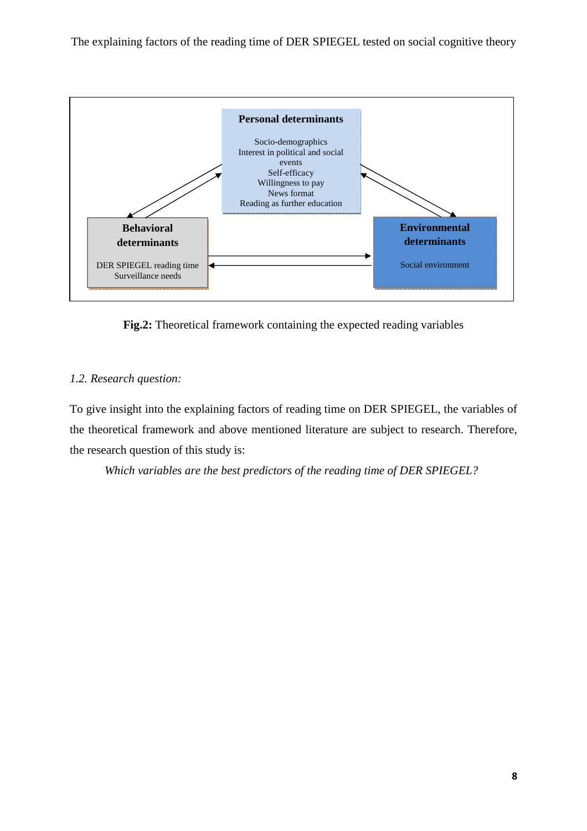

**Fig.2:** Theoretical framework containing the expected reading variables

# *1.2. Research question:*

To give insight into the explaining factors of reading time on DER SPIEGEL, the variables of the theoretical framework and above mentioned literature are subject to research. Therefore, the research question of this study is:

*Which variables are the best predictors of the reading time of DER SPIEGEL?*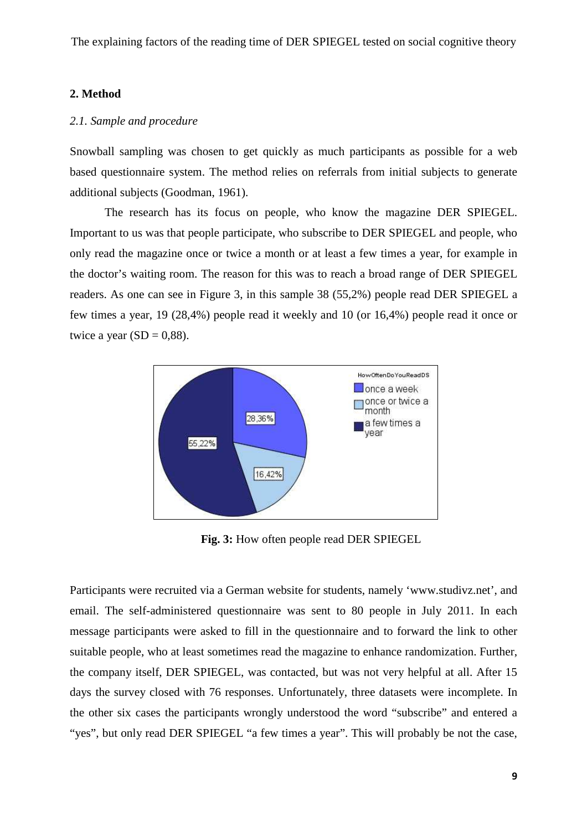#### **2. Method**

# *2.1. Sample and procedure*

Snowball sampling was chosen to get quickly as much participants as possible for a web based questionnaire system. The method relies on referrals from initial subjects to generate additional subjects (Goodman, 1961).

The research has its focus on people, who know the magazine DER SPIEGEL. Important to us was that people participate, who subscribe to DER SPIEGEL and people, who only read the magazine once or twice a month or at least a few times a year, for example in the doctor's waiting room. The reason for this was to reach a broad range of DER SPIEGEL readers. As one can see in Figure 3, in this sample 38 (55,2%) people read DER SPIEGEL a few times a year, 19 (28,4%) people read it weekly and 10 (or 16,4%) people read it once or twice a year  $(SD = 0.88)$ .



**Fig. 3:** How often people read DER SPIEGEL

Participants were recruited via a German website for students, namely 'www.studivz.net', and email. The self-administered questionnaire was sent to 80 people in July 2011. In each message participants were asked to fill in the questionnaire and to forward the link to other suitable people, who at least sometimes read the magazine to enhance randomization. Further, the company itself, DER SPIEGEL, was contacted, but was not very helpful at all. After 15 days the survey closed with 76 responses. Unfortunately, three datasets were incomplete. In the other six cases the participants wrongly understood the word "subscribe" and entered a "yes", but only read DER SPIEGEL "a few times a year". This will probably be not the case,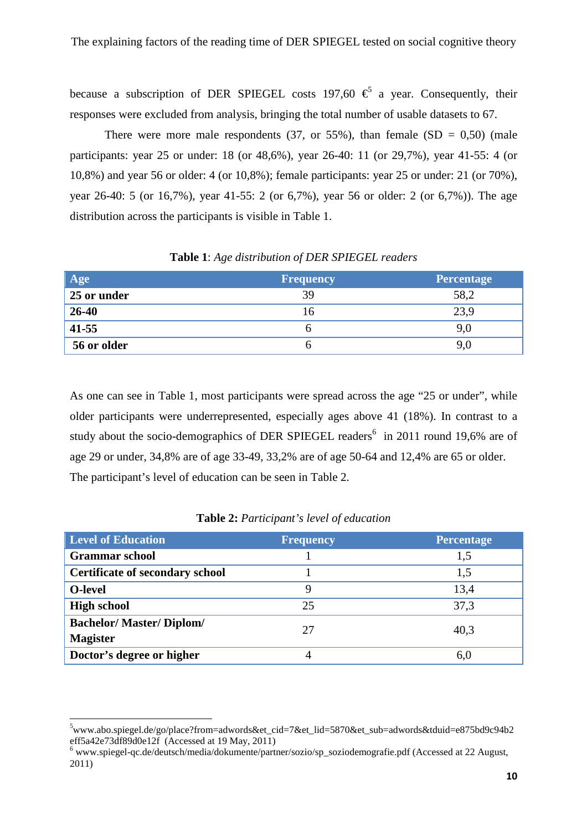because a subscription of DER SPIEGEL costs 197,60  $\epsilon$  a year. Consequently, their responses were excluded from analysis, bringing the total number of usable datasets to 67.

There were more male respondents (37, or 55%), than female (SD =  $0.50$ ) (male participants: year 25 or under: 18 (or 48,6%), year 26-40: 11 (or 29,7%), year 41-55: 4 (or 10,8%) and year 56 or older: 4 (or 10,8%); female participants: year 25 or under: 21 (or 70%), year 26-40: 5 (or 16,7%), year 41-55: 2 (or 6,7%), year 56 or older: 2 (or 6,7%)). The age distribution across the participants is visible in Table 1.

| Age         | <b>Frequency</b> | <b>Percentage</b> |
|-------------|------------------|-------------------|
| 25 or under | 39               | 58,2              |
| $26 - 40$   | 16               | 23,9              |
| $41 - 55$   |                  | 9,0               |
| 56 or older |                  |                   |

# **Table 1**: *Age distribution of DER SPIEGEL readers*

As one can see in Table 1, most participants were spread across the age "25 or under", while older participants were underrepresented, especially ages above 41 (18%). In contrast to a study about the socio-demographics of DER SPIEGEL readers<sup>6</sup> in 2011 round 19,6% are of age 29 or under, 34,8% are of age 33-49, 33,2% are of age 50-64 and 12,4% are 65 or older. The participant's level of education can be seen in Table 2.

| <b>Level of Education</b>              | <b>Frequency</b> | <b>Percentage</b> |
|----------------------------------------|------------------|-------------------|
| <b>Grammar</b> school                  |                  | 1,5               |
| <b>Certificate of secondary school</b> |                  | 1,5               |
| O-level                                | Q                | 13,4              |
| <b>High school</b>                     | 25               | 37,3              |
| <b>Bachelor/Master/Diplom/</b>         | 27               | 40,3              |
| <b>Magister</b>                        |                  |                   |
| Doctor's degree or higher              |                  | 6,                |

#### **Table 2:** *Participant's level of education*

 $\overline{a}$ 

 $5$ www.abo.spiegel.de/go/place?from=adwords&et\_cid=7&et\_lid=5870&et\_sub=adwords&tduid=e875bd9c94b2 eff5a42e73df89d0e12f (Accessed at 19 May, 2011)

<sup>&</sup>lt;sup>6</sup> www.spiegel-qc.de/deutsch/media/dokumente/partner/sozio/sp\_soziodemografie.pdf (Accessed at 22 August, 2011)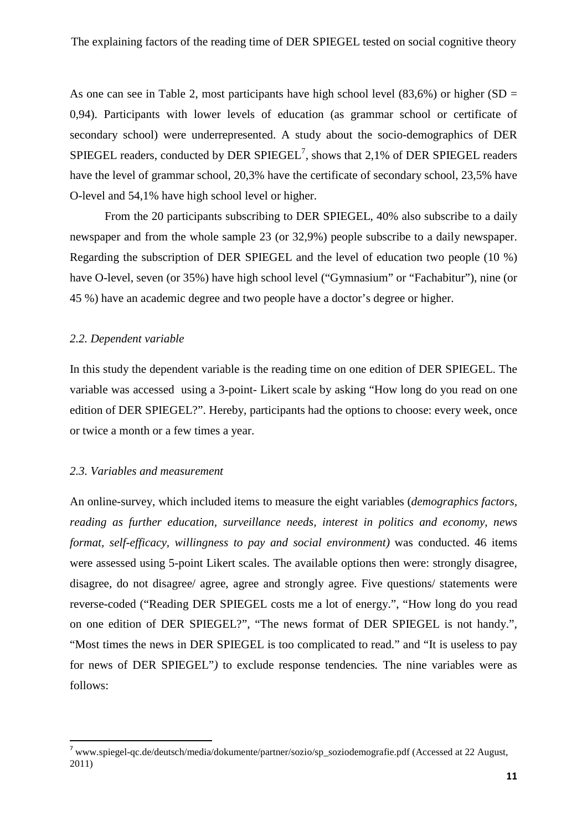As one can see in Table 2, most participants have high school level  $(83,6%)$  or higher  $(SD =$ 0,94). Participants with lower levels of education (as grammar school or certificate of secondary school) were underrepresented. A study about the socio-demographics of DER SPIEGEL readers, conducted by DER  $SPIEGEL^7$ , shows that 2,1% of DER SPIEGEL readers have the level of grammar school, 20,3% have the certificate of secondary school, 23,5% have O-level and 54,1% have high school level or higher.

From the 20 participants subscribing to DER SPIEGEL, 40% also subscribe to a daily newspaper and from the whole sample 23 (or 32,9%) people subscribe to a daily newspaper. Regarding the subscription of DER SPIEGEL and the level of education two people (10 %) have O-level, seven (or 35%) have high school level ("Gymnasium" or "Fachabitur"), nine (or 45 %) have an academic degree and two people have a doctor's degree or higher.

#### *2.2. Dependent variable*

In this study the dependent variable is the reading time on one edition of DER SPIEGEL. The variable was accessed using a 3-point- Likert scale by asking "How long do you read on one edition of DER SPIEGEL?". Hereby, participants had the options to choose: every week, once or twice a month or a few times a year.

#### *2.3. Variables and measurement*

l

An online-survey, which included items to measure the eight variables (*demographics factors, reading as further education, surveillance needs, interest in politics and economy, news format, self-efficacy, willingness to pay and social environment)* was conducted. 46 items were assessed using 5-point Likert scales. The available options then were: strongly disagree, disagree, do not disagree/ agree, agree and strongly agree. Five questions/ statements were reverse-coded ("Reading DER SPIEGEL costs me a lot of energy.", "How long do you read on one edition of DER SPIEGEL?", "The news format of DER SPIEGEL is not handy.", "Most times the news in DER SPIEGEL is too complicated to read." and "It is useless to pay for news of DER SPIEGEL"*)* to exclude response tendencies*.* The nine variables were as follows:

 $^7$  www.spiegel-qc.de/deutsch/media/dokumente/partner/sozio/sp\_soziodemografie.pdf (Accessed at 22 August, 2011)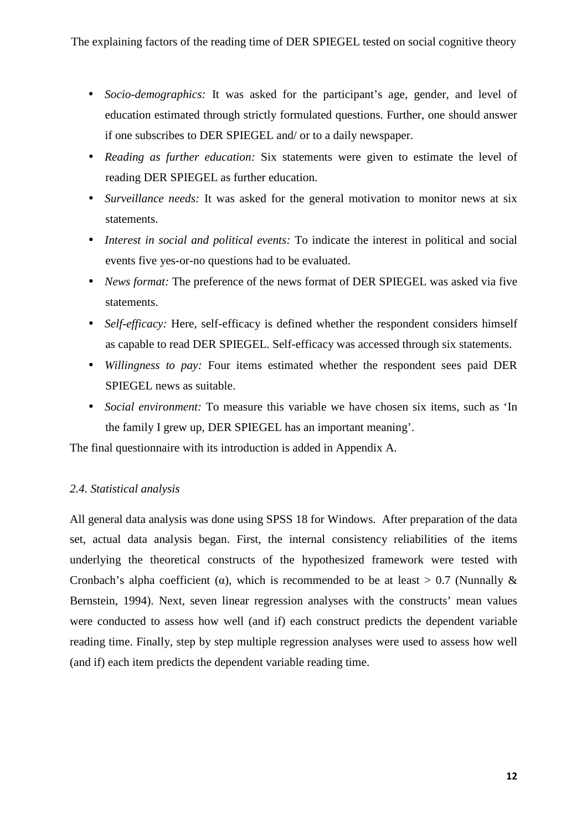- *Socio-demographics:* It was asked for the participant's age, gender, and level of education estimated through strictly formulated questions. Further, one should answer if one subscribes to DER SPIEGEL and/ or to a daily newspaper.
- *Reading as further education:* Six statements were given to estimate the level of reading DER SPIEGEL as further education.
- *Surveillance needs:* It was asked for the general motivation to monitor news at six statements.
- *Interest in social and political events:* To indicate the interest in political and social events five yes-or-no questions had to be evaluated.
- *News format:* The preference of the news format of DER SPIEGEL was asked via five statements.
- *Self-efficacy:* Here, self-efficacy is defined whether the respondent considers himself as capable to read DER SPIEGEL. Self-efficacy was accessed through six statements.
- *Willingness to pay:* Four items estimated whether the respondent sees paid DER SPIEGEL news as suitable.
- *Social environment:* To measure this variable we have chosen six items, such as 'In the family I grew up, DER SPIEGEL has an important meaning'.

The final questionnaire with its introduction is added in Appendix A.

# *2.4. Statistical analysis*

All general data analysis was done using SPSS 18 for Windows. After preparation of the data set, actual data analysis began. First, the internal consistency reliabilities of the items underlying the theoretical constructs of the hypothesized framework were tested with Cronbach's alpha coefficient ( $\alpha$ ), which is recommended to be at least > 0.7 (Nunnally  $\&$ Bernstein, 1994). Next, seven linear regression analyses with the constructs' mean values were conducted to assess how well (and if) each construct predicts the dependent variable reading time. Finally, step by step multiple regression analyses were used to assess how well (and if) each item predicts the dependent variable reading time.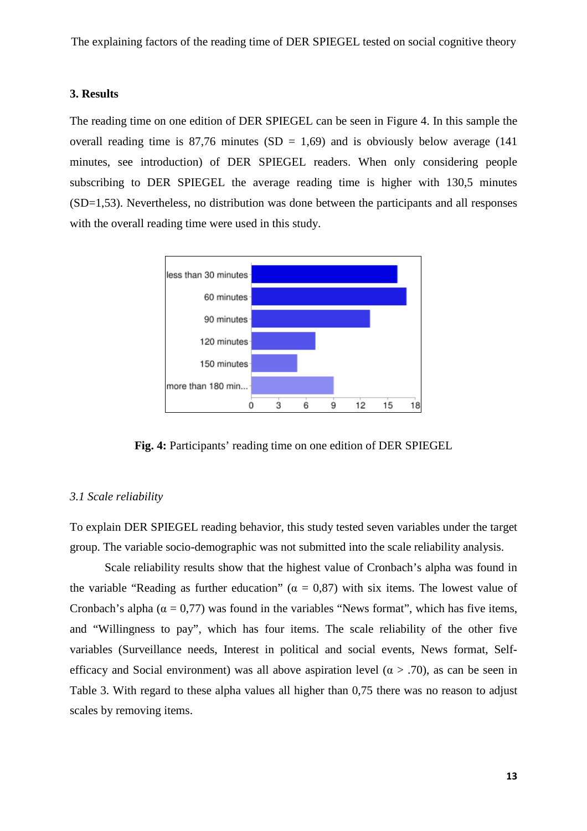#### **3. Results**

The reading time on one edition of DER SPIEGEL can be seen in Figure 4. In this sample the overall reading time is  $87,76$  minutes  $(SD = 1,69)$  and is obviously below average (141) minutes, see introduction) of DER SPIEGEL readers. When only considering people subscribing to DER SPIEGEL the average reading time is higher with 130,5 minutes (SD=1,53). Nevertheless, no distribution was done between the participants and all responses with the overall reading time were used in this study.



**Fig. 4:** Participants' reading time on one edition of DER SPIEGEL

#### *3.1 Scale reliability*

To explain DER SPIEGEL reading behavior, this study tested seven variables under the target group. The variable socio-demographic was not submitted into the scale reliability analysis.

Scale reliability results show that the highest value of Cronbach's alpha was found in the variable "Reading as further education" ( $\alpha = 0.87$ ) with six items. The lowest value of Cronbach's alpha ( $\alpha = 0.77$ ) was found in the variables "News format", which has five items, and "Willingness to pay", which has four items. The scale reliability of the other five variables (Surveillance needs, Interest in political and social events, News format, Selfefficacy and Social environment) was all above aspiration level ( $\alpha$  > .70), as can be seen in Table 3. With regard to these alpha values all higher than 0,75 there was no reason to adjust scales by removing items.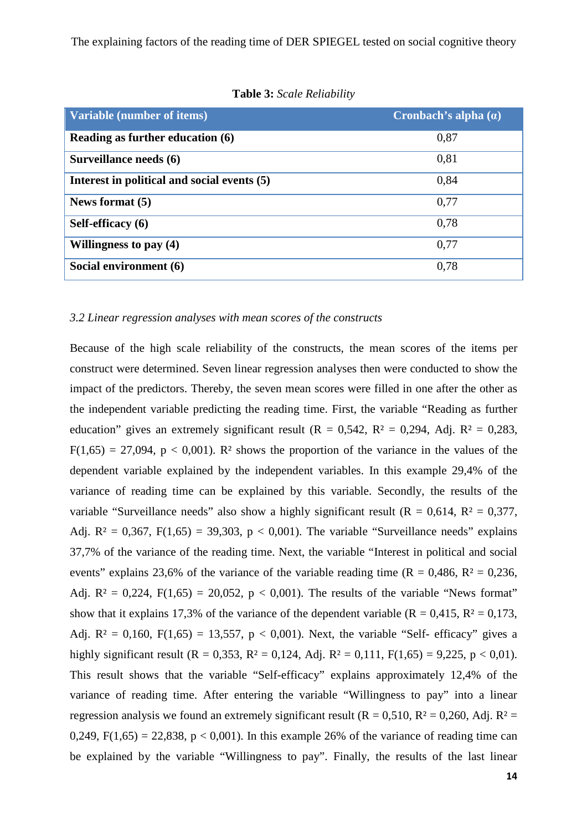| Variable (number of items)                  | Cronbach's alpha $(a)$ |
|---------------------------------------------|------------------------|
| Reading as further education (6)            | 0,87                   |
| Surveillance needs (6)                      | 0,81                   |
| Interest in political and social events (5) | 0,84                   |
| News format (5)                             | 0,77                   |
| Self-efficacy (6)                           | 0,78                   |
| Willingness to pay $(4)$                    | 0,77                   |
| Social environment (6)                      | 0,78                   |

**Table 3:** *Scale Reliability* 

# *3.2 Linear regression analyses with mean scores of the constructs*

Because of the high scale reliability of the constructs, the mean scores of the items per construct were determined. Seven linear regression analyses then were conducted to show the impact of the predictors. Thereby, the seven mean scores were filled in one after the other as the independent variable predicting the reading time. First, the variable "Reading as further education" gives an extremely significant result ( $R = 0.542$ ,  $R^2 = 0.294$ , Adj.  $R^2 = 0.283$ ,  $F(1,65) = 27,094$ ,  $p < 0,001$ ). R<sup>2</sup> shows the proportion of the variance in the values of the dependent variable explained by the independent variables. In this example 29,4% of the variance of reading time can be explained by this variable. Secondly, the results of the variable "Surveillance needs" also show a highly significant result ( $R = 0.614$ ,  $R^2 = 0.377$ , Adj.  $R^2 = 0.367$ ,  $F(1.65) = 39.303$ ,  $p < 0.001$ ). The variable "Surveillance needs" explains 37,7% of the variance of the reading time. Next, the variable "Interest in political and social events" explains 23,6% of the variance of the variable reading time ( $R = 0.486$ ,  $R^2 = 0.236$ , Adj.  $R^2 = 0.224$ ,  $F(1.65) = 20.052$ ,  $p < 0.001$ ). The results of the variable "News format" show that it explains 17,3% of the variance of the dependent variable ( $R = 0.415$ ,  $R^2 = 0.173$ , Adj.  $R^2 = 0.160$ ,  $F(1.65) = 13,557$ ,  $p < 0.001$ ). Next, the variable "Self- efficacy" gives a highly significant result (R = 0,353, R<sup>2</sup> = 0,124, Adj. R<sup>2</sup> = 0,111, F(1,65) = 9,225, p < 0,01). This result shows that the variable "Self-efficacy" explains approximately 12,4% of the variance of reading time. After entering the variable "Willingness to pay" into a linear regression analysis we found an extremely significant result ( $R = 0.510$ ,  $R^2 = 0.260$ , Adj.  $R^2 =$ 0,249,  $F(1,65) = 22,838$ ,  $p < 0,001$ ). In this example 26% of the variance of reading time can be explained by the variable "Willingness to pay". Finally, the results of the last linear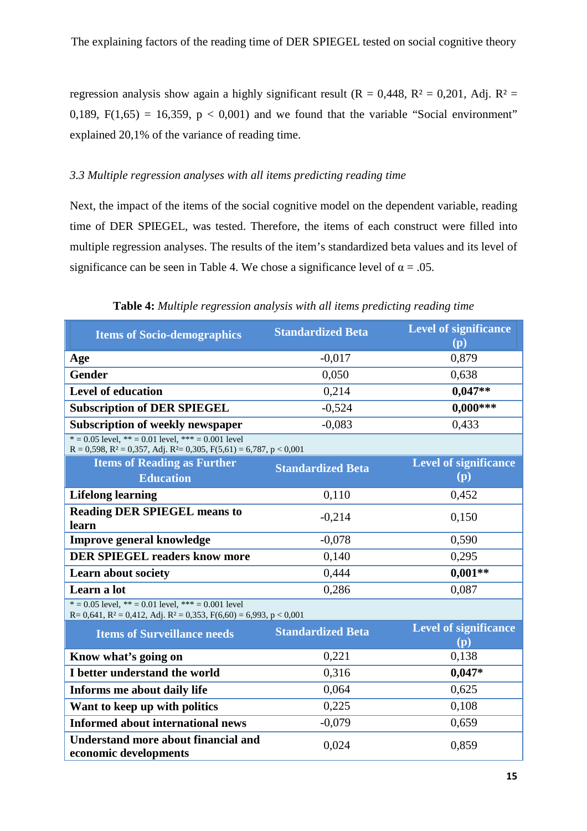regression analysis show again a highly significant result ( $R = 0.448$ ,  $R^2 = 0.201$ , Adj.  $R^2 =$ 0,189,  $F(1,65) = 16,359$ ,  $p < 0,001$ ) and we found that the variable "Social environment" explained 20,1% of the variance of reading time.

# *3.3 Multiple regression analyses with all items predicting reading time*

Next, the impact of the items of the social cognitive model on the dependent variable, reading time of DER SPIEGEL, was tested. Therefore, the items of each construct were filled into multiple regression analyses. The results of the item's standardized beta values and its level of significance can be seen in Table 4. We chose a significance level of  $\alpha = .05$ .

| <b>Items of Socio-demographics</b>                                                                                                             | <b>Standardized Beta</b> | <b>Level of significance</b><br>(p) |
|------------------------------------------------------------------------------------------------------------------------------------------------|--------------------------|-------------------------------------|
| Age                                                                                                                                            | $-0,017$                 | 0,879                               |
| <b>Gender</b>                                                                                                                                  | 0,050                    | 0,638                               |
| <b>Level of education</b>                                                                                                                      | 0,214                    | $0,047**$                           |
| <b>Subscription of DER SPIEGEL</b>                                                                                                             | $-0,524$                 | $0,000***$                          |
| <b>Subscription of weekly newspaper</b>                                                                                                        | $-0,083$                 | 0,433                               |
| $* = 0.05$ level, $** = 0.01$ level, $*** = 0.001$ level<br>$R = 0,598$ , $R^2 = 0,357$ , Adj. $R^2 = 0,305$ , $F(5,61) = 6,787$ , $p < 0,001$ |                          |                                     |
| <b>Items of Reading as Further</b>                                                                                                             | <b>Standardized Beta</b> | <b>Level of significance</b>        |
| <b>Education</b>                                                                                                                               |                          | (p)                                 |
| <b>Lifelong learning</b>                                                                                                                       | 0,110                    | 0,452                               |
| <b>Reading DER SPIEGEL means to</b><br>learn                                                                                                   | $-0,214$                 | 0,150                               |
| Improve general knowledge                                                                                                                      | $-0,078$                 | 0,590                               |
| <b>DER SPIEGEL readers know more</b>                                                                                                           | 0,140                    | 0,295                               |
| <b>Learn about society</b>                                                                                                                     | 0,444                    | $0,001**$                           |
| Learn a lot                                                                                                                                    | 0,286                    | 0,087                               |
| $* = 0.05$ level, $** = 0.01$ level, $*** = 0.001$ level<br>$R = 0,641$ , $R^2 = 0,412$ , Adj. $R^2 = 0,353$ , $F(6,60) = 6,993$ , $p < 0,001$ |                          |                                     |
| <b>Items of Surveillance needs</b>                                                                                                             | <b>Standardized Beta</b> | <b>Level of significance</b>        |
|                                                                                                                                                |                          | (p)                                 |
| Know what's going on                                                                                                                           | 0,221                    | 0,138                               |
| I better understand the world                                                                                                                  | 0,316                    | $0,047*$                            |
| Informs me about daily life                                                                                                                    | 0,064                    | 0,625                               |
| Want to keep up with politics                                                                                                                  | 0,225                    | 0,108                               |
| <b>Informed about international news</b>                                                                                                       | $-0,079$                 | 0,659                               |
| <b>Understand more about financial and</b><br>economic developments                                                                            | 0,024                    | 0,859                               |

**Table 4:** *Multiple regression analysis with all items predicting reading time*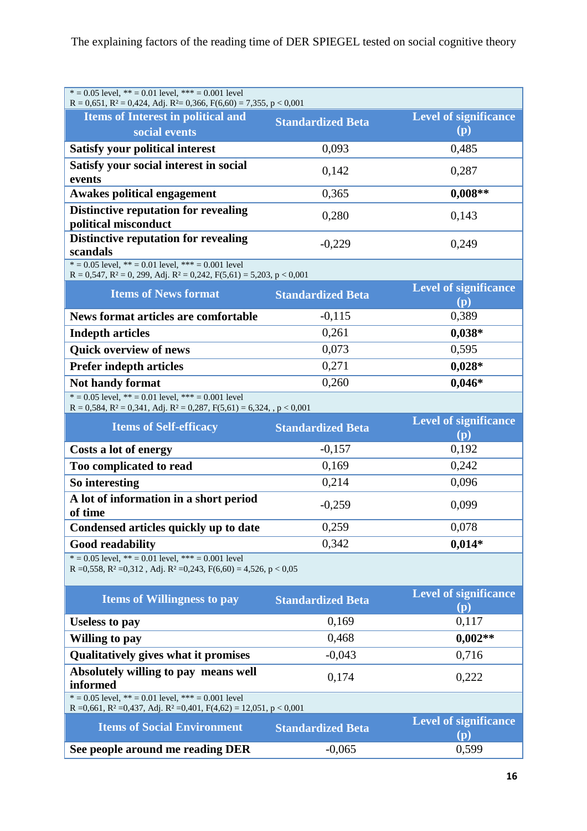| $* = 0.05$ level, $** = 0.01$ level, $*** = 0.001$ level<br>$R = 0,651$ , $R^2 = 0,424$ , Adj. $R^2 = 0,366$ , $F(6,60) = 7,355$ , $p < 0,001$          |                          |                                     |  |  |
|---------------------------------------------------------------------------------------------------------------------------------------------------------|--------------------------|-------------------------------------|--|--|
| <b>Items of Interest in political and</b>                                                                                                               | <b>Standardized Beta</b> | <b>Level of significance</b>        |  |  |
| social events                                                                                                                                           |                          | (p)                                 |  |  |
| <b>Satisfy your political interest</b>                                                                                                                  | 0,093                    | 0,485                               |  |  |
| Satisfy your social interest in social<br>events                                                                                                        | 0,142                    | 0,287                               |  |  |
| <b>Awakes political engagement</b>                                                                                                                      | 0,365                    | $0,008**$                           |  |  |
| <b>Distinctive reputation for revealing</b><br>political misconduct                                                                                     | 0,280                    | 0,143                               |  |  |
| <b>Distinctive reputation for revealing</b><br>scandals                                                                                                 | $-0,229$                 | 0,249                               |  |  |
| $* = 0.05$ level, $** = 0.01$ level, $*** = 0.001$ level<br>$R = 0,547$ , $R^2 = 0$ , 299, Adj. $R^2 = 0,242$ , $F(5,61) = 5,203$ , $p < 0,001$         |                          |                                     |  |  |
| <b>Items of News format</b>                                                                                                                             | <b>Standardized Beta</b> | Level of significance<br>(p)        |  |  |
| <b>News format articles are comfortable</b>                                                                                                             | $-0,115$                 | 0,389                               |  |  |
| <b>Indepth articles</b>                                                                                                                                 | 0,261                    | $0,038*$                            |  |  |
| <b>Quick overview of news</b>                                                                                                                           | 0,073                    | 0,595                               |  |  |
| <b>Prefer indepth articles</b>                                                                                                                          | 0,271                    | $0,028*$                            |  |  |
| <b>Not handy format</b>                                                                                                                                 | 0,260                    | $0,046*$                            |  |  |
| $* = 0.05$ level, $** = 0.01$ level, $*** = 0.001$ level<br>$R = 0,584, R^2 = 0,341, Adj.$ $R^2 = 0,287, F(5,61) = 6,324,$ , $p < 0,001$                |                          |                                     |  |  |
| <b>Items of Self-efficacy</b>                                                                                                                           | <b>Standardized Beta</b> | <b>Level of significance</b><br>(p) |  |  |
| Costs a lot of energy                                                                                                                                   | $-0,157$                 | 0,192                               |  |  |
| Too complicated to read                                                                                                                                 | 0,169                    | 0,242                               |  |  |
| So interesting                                                                                                                                          | 0,214                    | 0,096                               |  |  |
| A lot of information in a short period<br>of time                                                                                                       | $-0,259$                 | 0,099                               |  |  |
| Condensed articles quickly up to date                                                                                                                   | 0,259                    | 0,078                               |  |  |
| <b>Good readability</b>                                                                                                                                 | 0,342                    | $0,014*$                            |  |  |
| $* = 0.05$ level, $** = 0.01$ level, $*** = 0.001$ level<br>R = 0,558, R <sup>2</sup> = 0,312, Adj. R <sup>2</sup> = 0,243, F(6,60) = 4,526, p < 0,05   |                          |                                     |  |  |
| <b>Items of Willingness to pay</b>                                                                                                                      | <b>Standardized Beta</b> | <b>Level of significance</b><br>(p) |  |  |
| <b>Useless to pay</b>                                                                                                                                   | 0,169                    | 0,117                               |  |  |
| Willing to pay                                                                                                                                          | 0,468                    | $0,002**$                           |  |  |
| Qualitatively gives what it promises                                                                                                                    | $-0,043$                 | 0,716                               |  |  |
| Absolutely willing to pay means well<br>informed                                                                                                        | 0,174                    | 0,222                               |  |  |
| $* = 0.05$ level, $** = 0.01$ level, $*** = 0.001$ level<br>R = 0,661, R <sup>2</sup> = 0,437, Adj. R <sup>2</sup> = 0,401, F(4,62) = 12,051, p < 0,001 |                          |                                     |  |  |
| <b>Items of Social Environment</b>                                                                                                                      | <b>Standardized Beta</b> | <b>Level of significance</b><br>(p) |  |  |
| See people around me reading DER                                                                                                                        | $-0,065$                 | 0,599                               |  |  |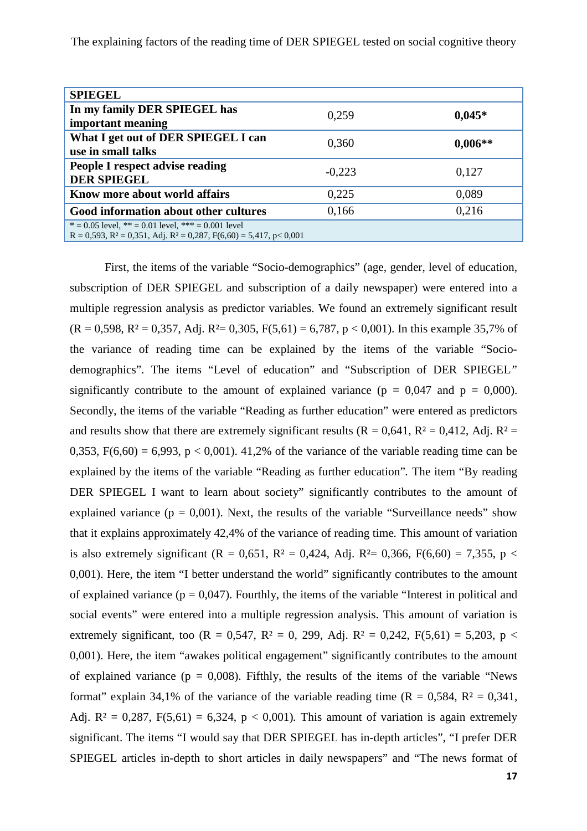| <b>SPIEGEL</b>                                                                                                                        |          |           |
|---------------------------------------------------------------------------------------------------------------------------------------|----------|-----------|
| In my family DER SPIEGEL has                                                                                                          | 0,259    | $0.045*$  |
| important meaning                                                                                                                     |          |           |
| What I get out of DER SPIEGEL I can                                                                                                   | 0,360    | $0,006**$ |
| use in small talks                                                                                                                    |          |           |
| People I respect advise reading                                                                                                       | $-0,223$ | 0,127     |
| <b>DER SPIEGEL</b>                                                                                                                    |          |           |
| Know more about world affairs                                                                                                         | 0,225    | 0,089     |
| Good information about other cultures                                                                                                 | 0,166    | 0,216     |
| $* = 0.05$ level, $** = 0.01$ level, $*** = 0.001$ level<br>$R = 0,593, R^2 = 0,351, Ad$ j. $R^2 = 0,287, F(6,60) = 5,417, p < 0,001$ |          |           |
|                                                                                                                                       |          |           |

First, the items of the variable "Socio-demographics" (age, gender, level of education, subscription of DER SPIEGEL and subscription of a daily newspaper) were entered into a multiple regression analysis as predictor variables. We found an extremely significant result  $(R = 0.598, R^2 = 0.357, Ad$ j.  $R^2 = 0.305, F(5,61) = 6,787, p < 0.001$ ). In this example 35,7% of the variance of reading time can be explained by the items of the variable "Sociodemographics". The items "Level of education" and "Subscription of DER SPIEGEL*"*  significantly contribute to the amount of explained variance ( $p = 0.047$  and  $p = 0.000$ ). Secondly, the items of the variable "Reading as further education" were entered as predictors and results show that there are extremely significant results ( $R = 0.641$ ,  $R^2 = 0.412$ , Adj.  $R^2 =$ 0,353,  $F(6,60) = 6,993$ ,  $p < 0,001$ ). 41,2% of the variance of the variable reading time can be explained by the items of the variable "Reading as further education"*.* The item "By reading DER SPIEGEL I want to learn about society" significantly contributes to the amount of explained variance ( $p = 0.001$ ). Next, the results of the variable "Surveillance needs" show that it explains approximately 42,4% of the variance of reading time*.* This amount of variation is also extremely significant (R = 0,651, R<sup>2</sup> = 0,424, Adj. R<sup>2</sup> = 0,366, F(6,60) = 7,355, p < 0,001). Here, the item "I better understand the world" significantly contributes to the amount of explained variance ( $p = 0.047$ ). Fourthly, the items of the variable "Interest in political and social events" were entered into a multiple regression analysis. This amount of variation is extremely significant, too (R = 0,547, R<sup>2</sup> = 0, 299, Adj. R<sup>2</sup> = 0,242, F(5,61) = 5,203, p < 0,001). Here, the item "awakes political engagement" significantly contributes to the amount of explained variance ( $p = 0.008$ ). Fifthly, the results of the items of the variable "News" format" explain 34,1% of the variance of the variable reading time  $(R = 0.584, R^2 = 0.341, R^2 = 0.341)$ Adj.  $R^2 = 0.287$ ,  $F(5.61) = 6.324$ ,  $p < 0.001$ ). This amount of variation is again extremely significant. The items "I would say that DER SPIEGEL has in-depth articles", "I prefer DER SPIEGEL articles in-depth to short articles in daily newspapers" and "The news format of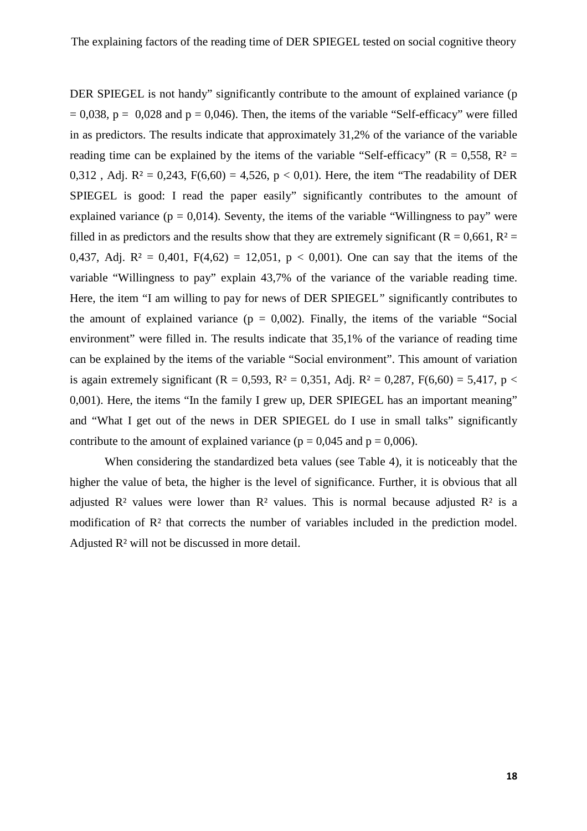DER SPIEGEL is not handy" significantly contribute to the amount of explained variance (p  $= 0.038$ ,  $p = 0.028$  and  $p = 0.046$ ). Then, the items of the variable "Self-efficacy" were filled in as predictors. The results indicate that approximately 31,2% of the variance of the variable reading time can be explained by the items of the variable "Self-efficacy" ( $R = 0.558$ ,  $R^2 =$ 0,312, Adj.  $R^2 = 0.243$ ,  $F(6,60) = 4,526$ ,  $p < 0.01$ ). Here, the item "The readability of DER SPIEGEL is good: I read the paper easily" significantly contributes to the amount of explained variance ( $p = 0.014$ ). Seventy, the items of the variable "Willingness to pay" were filled in as predictors and the results show that they are extremely significant ( $R = 0.661$ ,  $R^2 =$ 0,437, Adj.  $R^2 = 0,401$ ,  $F(4,62) = 12,051$ ,  $p < 0,001$ ). One can say that the items of the variable "Willingness to pay" explain 43,7% of the variance of the variable reading time. Here, the item "I am willing to pay for news of DER SPIEGEL*"* significantly contributes to the amount of explained variance  $(p = 0.002)$ . Finally, the items of the variable "Social environment" were filled in. The results indicate that 35,1% of the variance of reading time can be explained by the items of the variable "Social environment". This amount of variation is again extremely significant (R = 0,593, R<sup>2</sup> = 0,351, Adj. R<sup>2</sup> = 0,287, F(6,60) = 5,417, p < 0,001). Here, the items "In the family I grew up, DER SPIEGEL has an important meaning" and "What I get out of the news in DER SPIEGEL do I use in small talks" significantly contribute to the amount of explained variance ( $p = 0.045$  and  $p = 0.006$ ).

When considering the standardized beta values (see Table 4), it is noticeably that the higher the value of beta, the higher is the level of significance. Further, it is obvious that all adjusted  $\mathbb{R}^2$  values were lower than  $\mathbb{R}^2$  values. This is normal because adjusted  $\mathbb{R}^2$  is a modification of R² that corrects the number of variables included in the prediction model. Adjusted R² will not be discussed in more detail.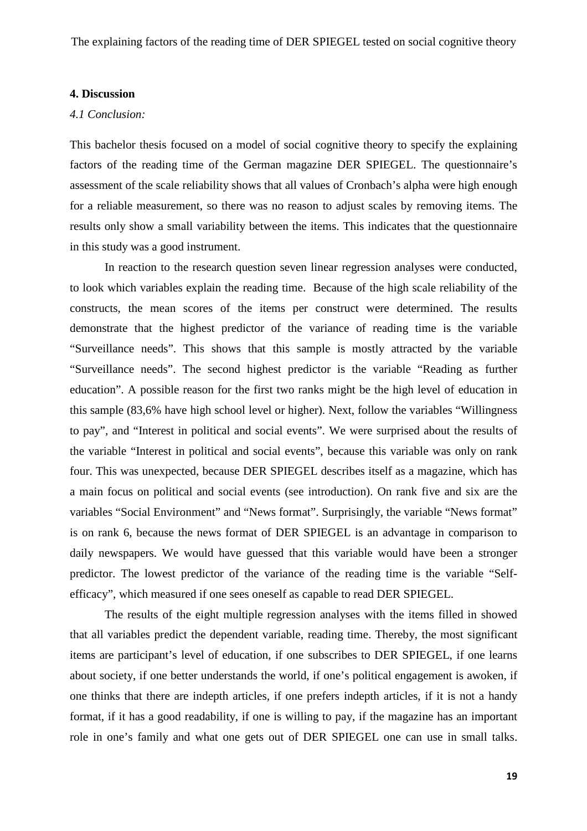#### **4. Discussion**

# *4.1 Conclusion:*

This bachelor thesis focused on a model of social cognitive theory to specify the explaining factors of the reading time of the German magazine DER SPIEGEL. The questionnaire's assessment of the scale reliability shows that all values of Cronbach's alpha were high enough for a reliable measurement, so there was no reason to adjust scales by removing items. The results only show a small variability between the items. This indicates that the questionnaire in this study was a good instrument.

In reaction to the research question seven linear regression analyses were conducted, to look which variables explain the reading time. Because of the high scale reliability of the constructs, the mean scores of the items per construct were determined. The results demonstrate that the highest predictor of the variance of reading time is the variable "Surveillance needs". This shows that this sample is mostly attracted by the variable "Surveillance needs". The second highest predictor is the variable "Reading as further education". A possible reason for the first two ranks might be the high level of education in this sample (83,6% have high school level or higher). Next, follow the variables "Willingness to pay", and "Interest in political and social events". We were surprised about the results of the variable "Interest in political and social events", because this variable was only on rank four. This was unexpected, because DER SPIEGEL describes itself as a magazine, which has a main focus on political and social events (see introduction). On rank five and six are the variables "Social Environment" and "News format". Surprisingly, the variable "News format" is on rank 6, because the news format of DER SPIEGEL is an advantage in comparison to daily newspapers. We would have guessed that this variable would have been a stronger predictor. The lowest predictor of the variance of the reading time is the variable "Selfefficacy", which measured if one sees oneself as capable to read DER SPIEGEL.

The results of the eight multiple regression analyses with the items filled in showed that all variables predict the dependent variable, reading time. Thereby, the most significant items are participant's level of education, if one subscribes to DER SPIEGEL, if one learns about society, if one better understands the world, if one's political engagement is awoken, if one thinks that there are indepth articles, if one prefers indepth articles, if it is not a handy format, if it has a good readability, if one is willing to pay, if the magazine has an important role in one's family and what one gets out of DER SPIEGEL one can use in small talks.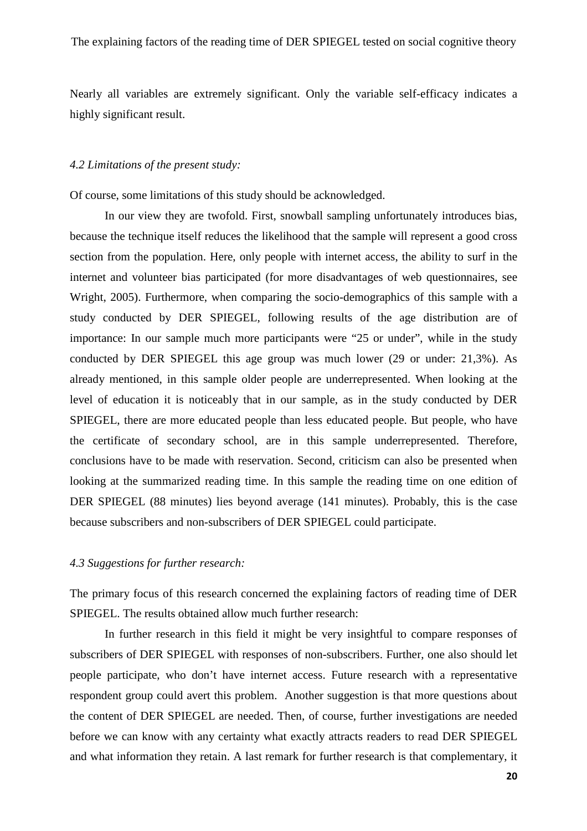Nearly all variables are extremely significant. Only the variable self-efficacy indicates a highly significant result.

#### *4.2 Limitations of the present study:*

Of course, some limitations of this study should be acknowledged.

In our view they are twofold. First, snowball sampling unfortunately introduces bias, because the technique itself reduces the likelihood that the sample will represent a good cross section from the population. Here, only people with internet access, the ability to surf in the internet and volunteer bias participated (for more disadvantages of web questionnaires, see Wright, 2005). Furthermore, when comparing the socio-demographics of this sample with a study conducted by DER SPIEGEL, following results of the age distribution are of importance: In our sample much more participants were "25 or under", while in the study conducted by DER SPIEGEL this age group was much lower (29 or under: 21,3%). As already mentioned, in this sample older people are underrepresented. When looking at the level of education it is noticeably that in our sample, as in the study conducted by DER SPIEGEL, there are more educated people than less educated people. But people, who have the certificate of secondary school, are in this sample underrepresented. Therefore, conclusions have to be made with reservation. Second, criticism can also be presented when looking at the summarized reading time. In this sample the reading time on one edition of DER SPIEGEL (88 minutes) lies beyond average (141 minutes). Probably, this is the case because subscribers and non-subscribers of DER SPIEGEL could participate.

#### *4.3 Suggestions for further research:*

The primary focus of this research concerned the explaining factors of reading time of DER SPIEGEL. The results obtained allow much further research:

In further research in this field it might be very insightful to compare responses of subscribers of DER SPIEGEL with responses of non-subscribers. Further, one also should let people participate, who don't have internet access. Future research with a representative respondent group could avert this problem. Another suggestion is that more questions about the content of DER SPIEGEL are needed. Then, of course, further investigations are needed before we can know with any certainty what exactly attracts readers to read DER SPIEGEL and what information they retain. A last remark for further research is that complementary, it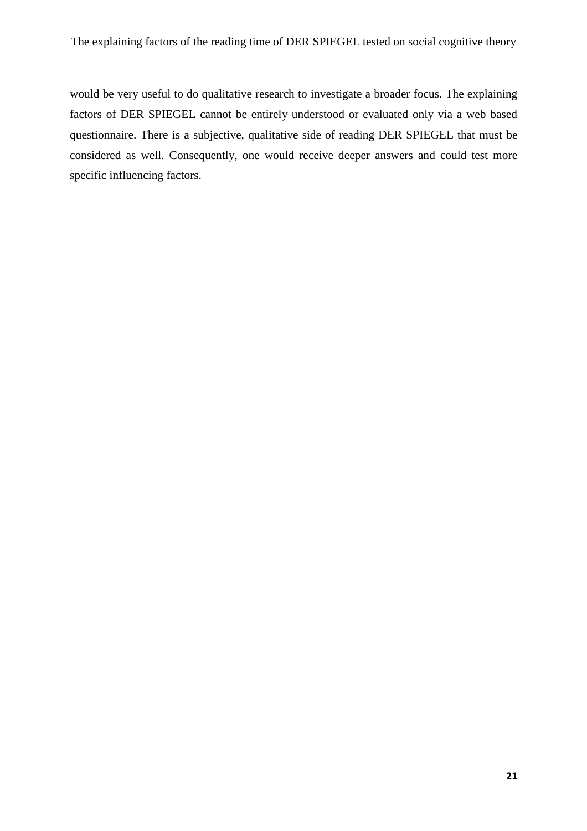would be very useful to do qualitative research to investigate a broader focus. The explaining factors of DER SPIEGEL cannot be entirely understood or evaluated only via a web based questionnaire. There is a subjective, qualitative side of reading DER SPIEGEL that must be considered as well. Consequently, one would receive deeper answers and could test more specific influencing factors.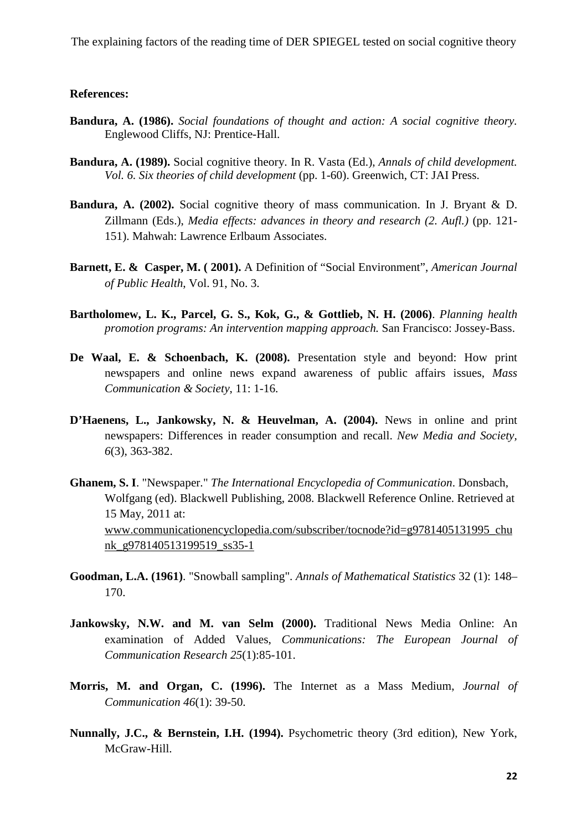#### **References:**

- **Bandura, A. (1986).** *Social foundations of thought and action: A social cognitive theory.*  Englewood Cliffs, NJ: Prentice-Hall.
- **Bandura, A. (1989).** Social cognitive theory. In R. Vasta (Ed.), *Annals of child development. Vol. 6. Six theories of child development* (pp. 1-60). Greenwich, CT: JAI Press.
- **Bandura, A. (2002).** Social cognitive theory of mass communication. In J. Bryant & D. Zillmann (Eds.), *Media effects: advances in theory and research (2. Aufl.)* (pp. 121- 151). Mahwah: Lawrence Erlbaum Associates.
- **Barnett, E. & Casper, M. ( 2001).** A Definition of "Social Environment", *American Journal of Public Health*, Vol. 91, No. 3.
- **Bartholomew, L. K., Parcel, G. S., Kok, G., & Gottlieb, N. H. (2006)**. *Planning health promotion programs: An intervention mapping approach.* San Francisco: Jossey-Bass.
- **De Waal, E. & Schoenbach, K. (2008).** Presentation style and beyond: How print newspapers and online news expand awareness of public affairs issues, *Mass Communication & Society*, 11: 1-16.
- **D'Haenens, L., Jankowsky, N. & Heuvelman, A. (2004).** News in online and print newspapers: Differences in reader consumption and recall. *New Media and Society, 6*(3), 363-382.
- **Ghanem, S. I**. "Newspaper." *The International Encyclopedia of Communication*. Donsbach, Wolfgang (ed). Blackwell Publishing, 2008. Blackwell Reference Online. Retrieved at 15 May, 2011 at: www.communicationencyclopedia.com/subscriber/tocnode?id=g9781405131995\_chu nk\_g978140513199519\_ss35-1
- **Goodman, L.A. (1961)**. "Snowball sampling". *Annals of Mathematical Statistics* 32 (1): 148– 170.
- Jankowsky, N.W. and M. van Selm (2000). Traditional News Media Online: An examination of Added Values, *Communications: The European Journal of Communication Research 25*(1):85-101.
- **Morris, M. and Organ, C. (1996).** The Internet as a Mass Medium, *Journal of Communication 46*(1): 39-50.
- **Nunnally, J.C., & Bernstein, I.H. (1994).** Psychometric theory (3rd edition), New York, McGraw-Hill.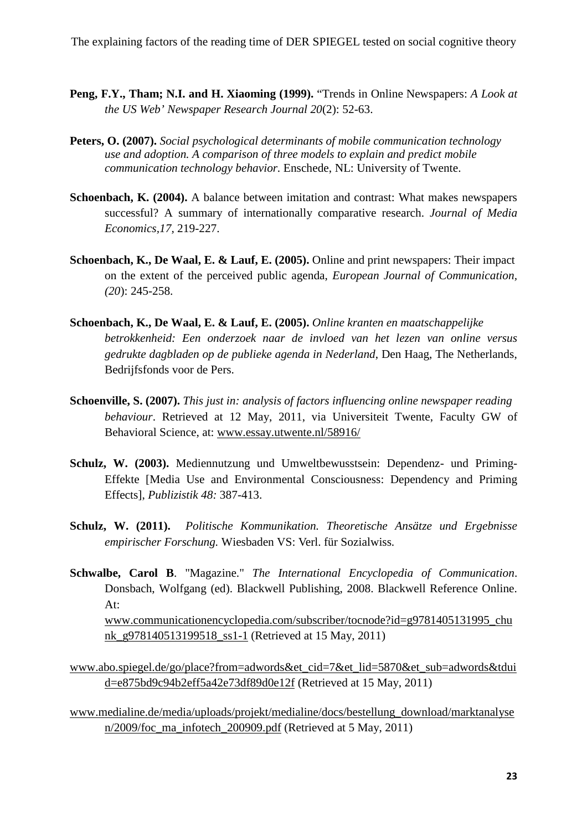- **Peng, F.Y., Tham; N.I. and H. Xiaoming (1999).** "Trends in Online Newspapers: *A Look at the US Web' Newspaper Research Journal 20*(2): 52-63.
- **Peters, O. (2007).** *Social psychological determinants of mobile communication technology use and adoption. A comparison of three models to explain and predict mobile communication technology behavior.* Enschede, NL: University of Twente.
- **Schoenbach, K. (2004).** A balance between imitation and contrast: What makes newspapers successful? A summary of internationally comparative research. *Journal of Media Economics,17,* 219-227.
- **Schoenbach, K., De Waal, E. & Lauf, E. (2005).** Online and print newspapers: Their impact on the extent of the perceived public agenda, *European Journal of Communication, (20*): 245-258.
- **Schoenbach, K., De Waal, E. & Lauf, E. (2005).** *Online kranten en maatschappelijke betrokkenheid: Een onderzoek naar de invloed van het lezen van online versus gedrukte dagbladen op de publieke agenda in Nederland*, Den Haag, The Netherlands, Bedrijfsfonds voor de Pers.
- **Schoenville, S. (2007).** *This just in: analysis of factors influencing online newspaper reading behaviour*. Retrieved at 12 May, 2011, via Universiteit Twente, Faculty GW of Behavioral Science, at: www.essay.utwente.nl/58916/
- **Schulz, W. (2003).** Mediennutzung und Umweltbewusstsein: Dependenz- und Priming-Effekte [Media Use and Environmental Consciousness: Dependency and Priming Effects], *Publizistik 48:* 387-413.
- **Schulz, W. (2011).** *Politische Kommunikation. Theoretische Ansätze und Ergebnisse empirischer Forschung.* Wiesbaden VS: Verl. für Sozialwiss.
- **Schwalbe, Carol B**. "Magazine." *The International Encyclopedia of Communication*. Donsbach, Wolfgang (ed). Blackwell Publishing, 2008. Blackwell Reference Online. At: www.communicationencyclopedia.com/subscriber/tocnode?id=g9781405131995\_chu

nk\_g978140513199518\_ss1-1 (Retrieved at 15 May, 2011)

- www.abo.spiegel.de/go/place?from=adwords&et\_cid=7&et\_lid=5870&et\_sub=adwords&tdui d=e875bd9c94b2eff5a42e73df89d0e12f (Retrieved at 15 May, 2011)
- www.medialine.de/media/uploads/projekt/medialine/docs/bestellung\_download/marktanalyse n/2009/foc\_ma\_infotech\_200909.pdf (Retrieved at 5 May, 2011)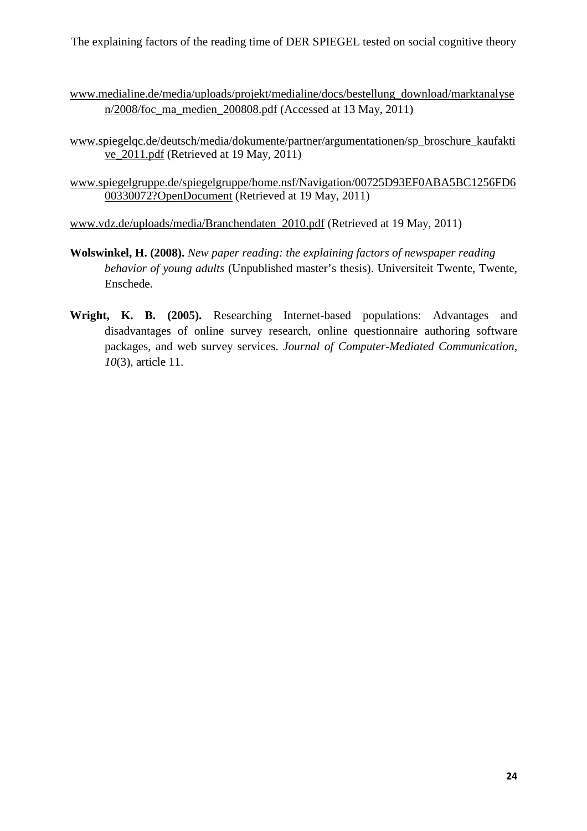- www.medialine.de/media/uploads/projekt/medialine/docs/bestellung\_download/marktanalyse n/2008/foc\_ma\_medien\_200808.pdf (Accessed at 13 May, 2011)
- www.spiegelqc.de/deutsch/media/dokumente/partner/argumentationen/sp\_broschure\_kaufakti ve\_2011.pdf (Retrieved at 19 May, 2011)
- www.spiegelgruppe.de/spiegelgruppe/home.nsf/Navigation/00725D93EF0ABA5BC1256FD6 00330072?OpenDocument (Retrieved at 19 May, 2011)

www.vdz.de/uploads/media/Branchendaten\_2010.pdf (Retrieved at 19 May, 2011)

- **Wolswinkel, H. (2008).** *New paper reading: the explaining factors of newspaper reading behavior of young adults* (Unpublished master's thesis). Universiteit Twente, Twente, Enschede.
- **Wright, K. B. (2005).** Researching Internet-based populations: Advantages and disadvantages of online survey research, online questionnaire authoring software packages, and web survey services. *Journal of Computer-Mediated Communication, 10*(3), article 11.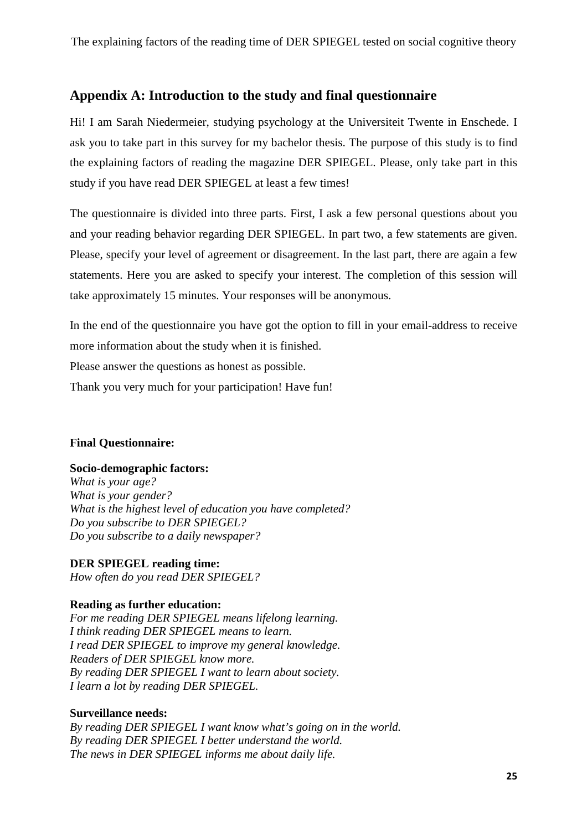# **Appendix A: Introduction to the study and final questionnaire**

Hi! I am Sarah Niedermeier, studying psychology at the Universiteit Twente in Enschede. I ask you to take part in this survey for my bachelor thesis. The purpose of this study is to find the explaining factors of reading the magazine DER SPIEGEL. Please, only take part in this study if you have read DER SPIEGEL at least a few times!

The questionnaire is divided into three parts. First, I ask a few personal questions about you and your reading behavior regarding DER SPIEGEL. In part two, a few statements are given. Please, specify your level of agreement or disagreement. In the last part, there are again a few statements. Here you are asked to specify your interest. The completion of this session will take approximately 15 minutes. Your responses will be anonymous.

In the end of the questionnaire you have got the option to fill in your email-address to receive more information about the study when it is finished.

Please answer the questions as honest as possible.

Thank you very much for your participation! Have fun!

# **Final Questionnaire:**

# **Socio-demographic factors:**

*What is your age? What is your gender? What is the highest level of education you have completed? Do you subscribe to DER SPIEGEL? Do you subscribe to a daily newspaper?* 

**DER SPIEGEL reading time:**  *How often do you read DER SPIEGEL?* 

# **Reading as further education:**

*For me reading DER SPIEGEL means lifelong learning. I think reading DER SPIEGEL means to learn. I read DER SPIEGEL to improve my general knowledge. Readers of DER SPIEGEL know more. By reading DER SPIEGEL I want to learn about society. I learn a lot by reading DER SPIEGEL.* 

# **Surveillance needs:**

*By reading DER SPIEGEL I want know what's going on in the world. By reading DER SPIEGEL I better understand the world. The news in DER SPIEGEL informs me about daily life.*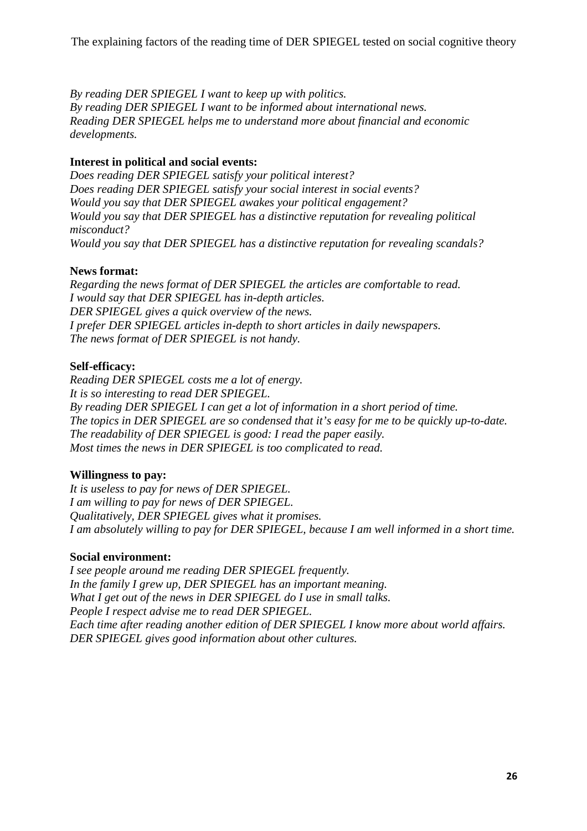*By reading DER SPIEGEL I want to keep up with politics. By reading DER SPIEGEL I want to be informed about international news. Reading DER SPIEGEL helps me to understand more about financial and economic developments.* 

# **Interest in political and social events:**

*Does reading DER SPIEGEL satisfy your political interest? Does reading DER SPIEGEL satisfy your social interest in social events? Would you say that DER SPIEGEL awakes your political engagement? Would you say that DER SPIEGEL has a distinctive reputation for revealing political misconduct? Would you say that DER SPIEGEL has a distinctive reputation for revealing scandals?* 

# **News format:**

*Regarding the news format of DER SPIEGEL the articles are comfortable to read. I would say that DER SPIEGEL has in-depth articles. DER SPIEGEL gives a quick overview of the news. I prefer DER SPIEGEL articles in-depth to short articles in daily newspapers. The news format of DER SPIEGEL is not handy.* 

# **Self-efficacy:**

*Reading DER SPIEGEL costs me a lot of energy. It is so interesting to read DER SPIEGEL. By reading DER SPIEGEL I can get a lot of information in a short period of time. The topics in DER SPIEGEL are so condensed that it's easy for me to be quickly up-to-date. The readability of DER SPIEGEL is good: I read the paper easily. Most times the news in DER SPIEGEL is too complicated to read.* 

# **Willingness to pay:**

*It is useless to pay for news of DER SPIEGEL. I am willing to pay for news of DER SPIEGEL. Qualitatively, DER SPIEGEL gives what it promises. I am absolutely willing to pay for DER SPIEGEL, because I am well informed in a short time.* 

# **Social environment:**

*I see people around me reading DER SPIEGEL frequently. In the family I grew up, DER SPIEGEL has an important meaning. What I get out of the news in DER SPIEGEL do I use in small talks. People I respect advise me to read DER SPIEGEL. Each time after reading another edition of DER SPIEGEL I know more about world affairs. DER SPIEGEL gives good information about other cultures.*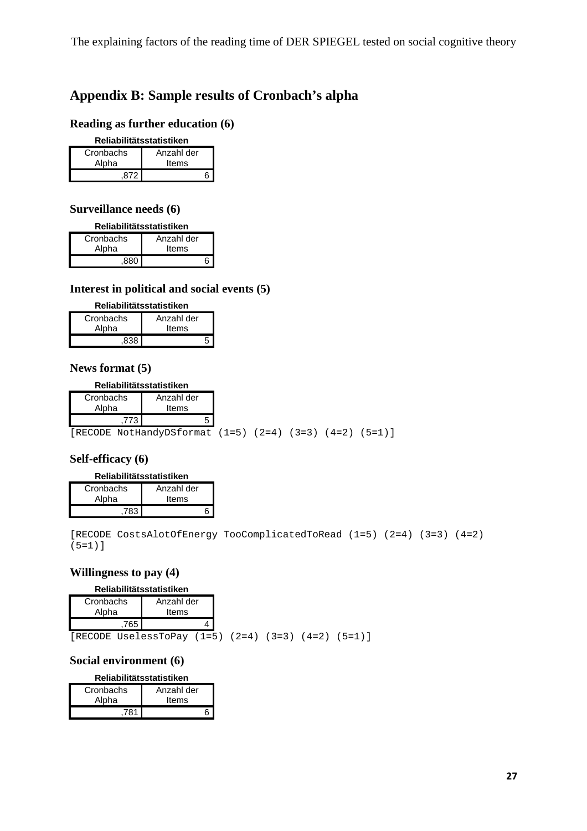# **Appendix B: Sample results of Cronbach's alpha**

# **Reading as further education (6)**

#### **Reliabilitätsstatistiken**

| Cronbachs | Anzahl der |
|-----------|------------|
| Alpha     | Items      |
|           |            |

# **Surveillance needs (6)**

#### **Reliabilitätsstatistiken**

| Cronbachs | Anzahl der |
|-----------|------------|
| Alpha     | Items      |
| ΩΩΛ       |            |

# **Interest in political and social events (5)**

| Reliabilitätsstatistiken |  |  |  |
|--------------------------|--|--|--|
| Cronbachs<br>Anzahl der  |  |  |  |
| Alpha<br>Items           |  |  |  |

 $,838$ 

# **News format (5)**

#### **Reliabilitätsstatistiken**

| Cronbachs<br>Alpha | Anzahl der<br>Items                                                |  |  |  |
|--------------------|--------------------------------------------------------------------|--|--|--|
|                    |                                                                    |  |  |  |
|                    | [RECODE NotHandyDSformat $(1=5)$ $(2=4)$ $(3=3)$ $(4=2)$ $(5=1)$ ] |  |  |  |

#### **Self-efficacy (6)**

#### **Reliabilitätsstatistiken**

| Cronbachs | Anzahl der |
|-----------|------------|
| Alpha     | Items      |
| 783       |            |

[RECODE CostsAlotOfEnergy TooComplicatedToRead (1=5) (2=4) (3=3) (4=2) (5=1)]

 $(5=1)$ ]

# **Willingness to pay (4)**

#### **Reliabilitätsstatistiken**

| Cronbachs<br>Alpha | Anzahl der<br>Items                          |  |         |
|--------------------|----------------------------------------------|--|---------|
| 765                |                                              |  |         |
|                    | [RECODE UselessToPay $(1=5)$ $(2=4)$ $(3=3)$ |  | $(4=2)$ |

# **Social environment (6)**

#### **Reliabilitätsstatistiken**

| Cronbachs | Anzahl der |
|-----------|------------|
| Alpha     | Items      |
| 781       |            |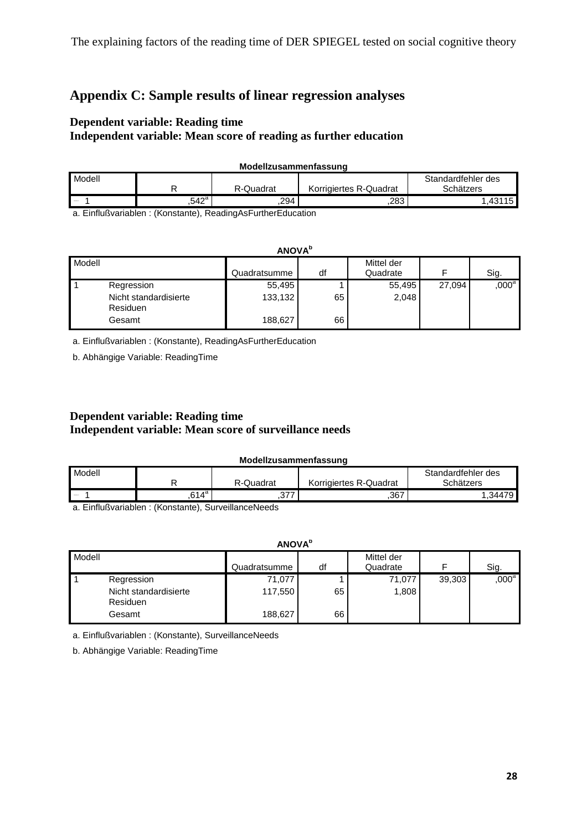# **Appendix C: Sample results of linear regression analyses**

# **Dependent variable: Reading time**

# **Independent variable: Mean score of reading as further education**

| Modellzusammenfassung |       |           |                        |                    |  |  |
|-----------------------|-------|-----------|------------------------|--------------------|--|--|
| Modell                |       |           |                        | Standardfehler des |  |  |
|                       |       | R-Quadrat | Korrigiertes R-Quadrat | Schätzers          |  |  |
| <b>Service</b>        | .542ª | .294      | .283                   | .43115             |  |  |

a. Einflußvariablen : (Konstante), ReadingAsFurtherEducation

| <b>ANOVA</b> <sup>b</sup>                                        |                              |          |                        |        |                   |
|------------------------------------------------------------------|------------------------------|----------|------------------------|--------|-------------------|
| Modell                                                           | Quadratsumme                 | df       | Mittel der<br>Quadrate |        | Sig.              |
| Regression<br>Nicht standardisierte<br><b>Residuen</b><br>Gesamt | 55,495<br>133,132<br>188,627 | 65<br>66 | 55,495<br>2,048        | 27,094 | ,000 <sup>a</sup> |

a. Einflußvariablen : (Konstante), ReadingAsFurtherEducation

b. Abhängige Variable: ReadingTime

# **Dependent variable: Reading time Independent variable: Mean score of surveillance needs**

#### **Modellzusammenfassung**

| Modell        |                |           |                        | Standardfehler des |
|---------------|----------------|-----------|------------------------|--------------------|
|               |                | R-Quadrat | Korrigiertes R-Quadrat | Schätzers          |
| <b>States</b> | $.614^{\circ}$ | .U I      | .367                   | .34479             |

a. Einflußvariablen : (Konstante), SurveillanceNeeds

| <b>ANOVA</b> <sup>b</sup>                                        |                              |          |                        |        |          |
|------------------------------------------------------------------|------------------------------|----------|------------------------|--------|----------|
| Modell                                                           | Quadratsumme                 | df       | Mittel der<br>Quadrate |        | Sig.     |
| Regression<br>Nicht standardisierte<br><b>Residuen</b><br>Gesamt | 71,077<br>117,550<br>188,627 | 65<br>66 | 71,077<br>1,808        | 39,303 | $,000^a$ |

a. Einflußvariablen : (Konstante), SurveillanceNeeds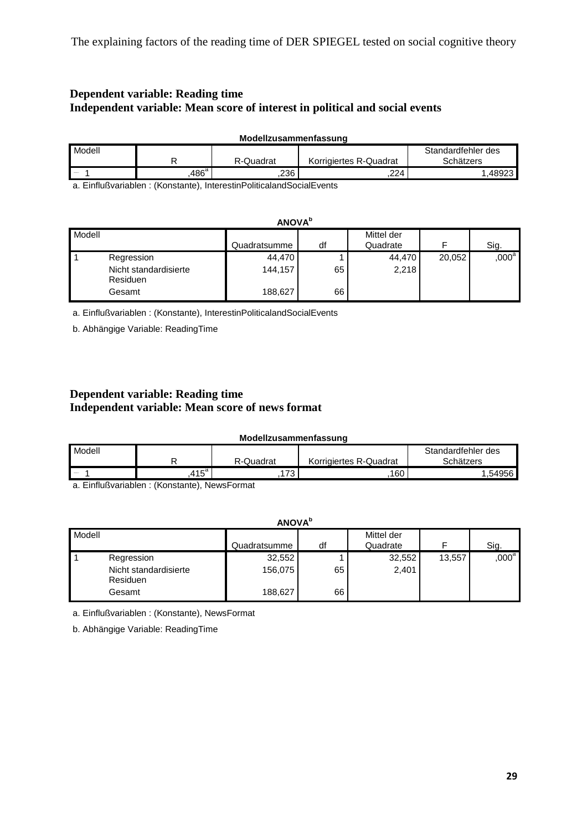# **Dependent variable: Reading time Independent variable: Mean score of interest in political and social events**

| Modellzusammenfassung |                   |           |                        |                                 |  |  |
|-----------------------|-------------------|-----------|------------------------|---------------------------------|--|--|
| Modell                |                   | R-Quadrat | Korrigiertes R-Quadrat | Standardfehler des<br>Schätzers |  |  |
| <b>Allegear</b>       | .486 <sup>a</sup> | 236       | .224                   | .48923                          |  |  |

a. Einflußvariablen : (Konstante), InterestinPoliticalandSocialEvents

|        | <b>ANOVA</b> <sup>b</sup>         |              |    |                        |        |          |
|--------|-----------------------------------|--------------|----|------------------------|--------|----------|
| Modell |                                   | Quadratsumme | df | Mittel der<br>Quadrate | ᆮ      | Sig.     |
|        | Regression                        | 44,470       |    | 44,470                 | 20,052 | $,000^a$ |
|        | Nicht standardisierte<br>Residuen | 144,157      | 65 | 2,218                  |        |          |
|        | Gesamt                            | 188,627      | 66 |                        |        |          |

a. Einflußvariablen : (Konstante), InterestinPoliticalandSocialEvents

b. Abhängige Variable: ReadingTime

# **Dependent variable: Reading time Independent variable: Mean score of news format**

#### **Modellzusammenfassung**

| Modell            |               |           |                        | Standardfehler des |
|-------------------|---------------|-----------|------------------------|--------------------|
|                   |               | R-Quadrat | Korrigiertes R-Quadrat | Schätzers          |
| <b>STATISTICS</b> | $+15^{\circ}$ | 70<br>.   | 160                    | 956ء               |

a. Einflußvariablen : (Konstante), NewsFormat

| <b>ANOVA</b> <sup>b</sup>        |                       |                              |          |                        |        |          |
|----------------------------------|-----------------------|------------------------------|----------|------------------------|--------|----------|
| Modell                           |                       | Quadratsumme                 | df       | Mittel der<br>Quadrate |        | Sig.     |
| Regression<br>Residuen<br>Gesamt | Nicht standardisierte | 32,552<br>156,075<br>188,627 | 65<br>66 | 32,552<br>2,401        | 13,557 | $,000^a$ |

a. Einflußvariablen : (Konstante), NewsFormat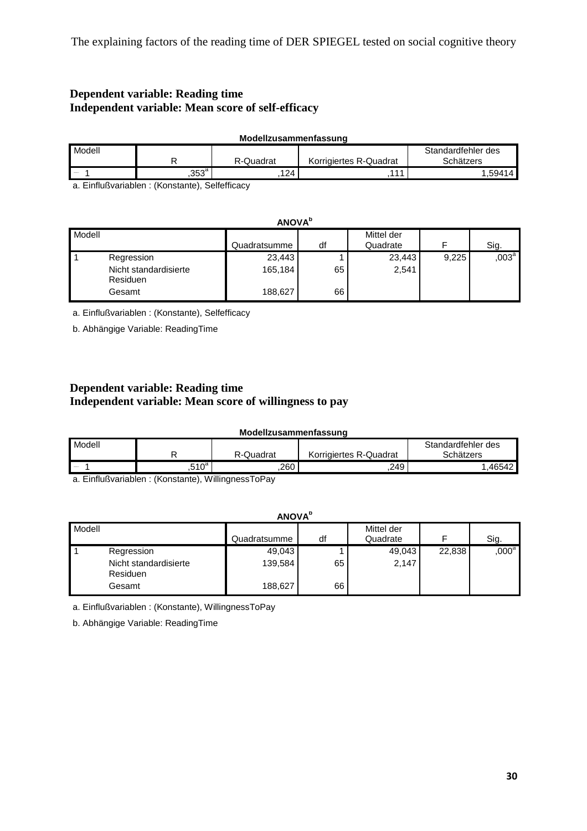# **Dependent variable: Reading time Independent variable: Mean score of self-efficacy**

| Modellzusammenfassung |               |           |                        |                    |  |
|-----------------------|---------------|-----------|------------------------|--------------------|--|
| Modell                |               |           |                        | Standardfehler des |  |
|                       |               | R-Quadrat | Korrigiertes R-Quadrat | Schätzers          |  |
| <b>Service</b>        | $353^{\circ}$ | 124       | 144                    | 1.59414.           |  |

a. Einflußvariablen : (Konstante), Selfefficacy

|        | <b>ANOVA</b> <sup>b</sup>                                 |                              |          |                        |       |          |
|--------|-----------------------------------------------------------|------------------------------|----------|------------------------|-------|----------|
| Modell |                                                           | Quadratsumme                 | df       | Mittel der<br>Quadrate |       | Sig.     |
|        | Regression<br>Nicht standardisierte<br>Residuen<br>Gesamt | 23,443<br>165,184<br>188,627 | 65<br>66 | 23,443<br>2,541        | 9,225 | $,003^a$ |

a. Einflußvariablen : (Konstante), Selfefficacy

b. Abhängige Variable: ReadingTime

# **Dependent variable: Reading time Independent variable: Mean score of willingness to pay**

| Modellzusammenfassung |  |
|-----------------------|--|
|-----------------------|--|

| Modell        |                   |           |                        | Standardfehler des |
|---------------|-------------------|-----------|------------------------|--------------------|
|               |                   | R-Quadrat | Korrigiertes R-Quadrat | Schätzers          |
| <b>County</b> | .510 <sup>a</sup> | .260      | .249                   | .46542             |

a. Einflußvariablen : (Konstante), WillingnessToPay

|        | <b>ANOVA</b> <sup>b</sup>                                        |                              |          |                        |        |                   |  |  |  |
|--------|------------------------------------------------------------------|------------------------------|----------|------------------------|--------|-------------------|--|--|--|
| Modell |                                                                  | Quadratsumme                 | df       | Mittel der<br>Quadrate |        | Sig.              |  |  |  |
|        | Regression<br>Nicht standardisierte<br><b>Residuen</b><br>Gesamt | 49,043<br>139,584<br>188,627 | 65<br>66 | 49,043<br>2,147        | 22,838 | ,000 <sup>a</sup> |  |  |  |

a. Einflußvariablen : (Konstante), WillingnessToPay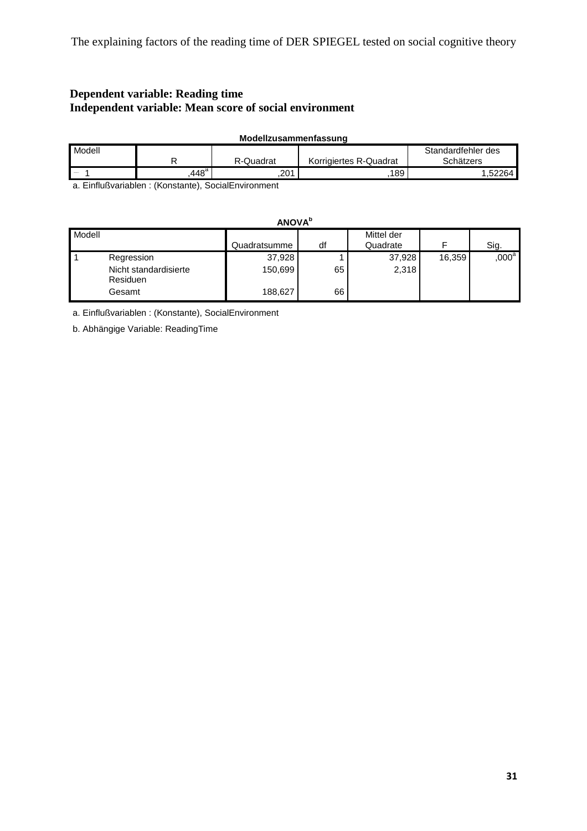# **Dependent variable: Reading time Independent variable: Mean score of social environment**

| Modellzusammenfassung |               |           |                        |                                 |  |  |  |  |  |  |
|-----------------------|---------------|-----------|------------------------|---------------------------------|--|--|--|--|--|--|
| Modell                |               | R-Quadrat | Korrigiertes R-Quadrat | Standardfehler des<br>Schätzers |  |  |  |  |  |  |
| <b>ALCOHOL</b>        | $448^{\rm a}$ | 201       | 189                    |                                 |  |  |  |  |  |  |

a. Einflußvariablen : (Konstante), SocialEnvironment

| <b>ANOVA</b> <sup>b</sup>                                 |  |                              |          |                        |        |                   |  |  |  |
|-----------------------------------------------------------|--|------------------------------|----------|------------------------|--------|-------------------|--|--|--|
| Modell                                                    |  | Quadratsumme                 | df       | Mittel der<br>Quadrate | F      | Sig.              |  |  |  |
| Regression<br>Nicht standardisierte<br>Residuen<br>Gesamt |  | 37,928<br>150,699<br>188,627 | 65<br>66 | 37,928<br>2,318        | 16,359 | ,000 <sup>a</sup> |  |  |  |

a. Einflußvariablen : (Konstante), SocialEnvironment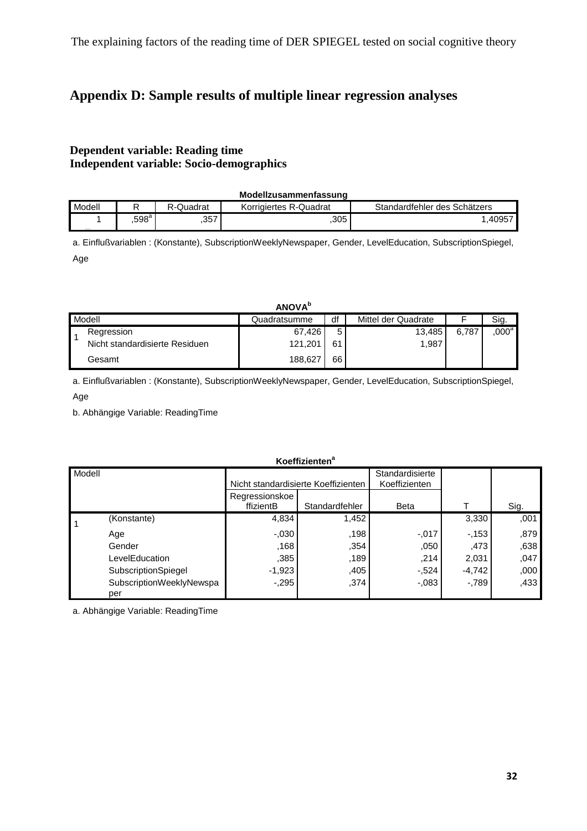# **Appendix D: Sample results of multiple linear regression analyses**

# **Dependent variable: Reading time Independent variable: Socio-demographics**

|        |                |           | Modellzusammenfassung  |                              |
|--------|----------------|-----------|------------------------|------------------------------|
| Modell |                | R-Quadrat | Korrigiertes R-Quadrat | Standardfehler des Schätzers |
|        | $.598^{\rm a}$ | .357      | 305                    | .40957                       |

a. Einflußvariablen : (Konstante), SubscriptionWeeklyNewspaper, Gender, LevelEducation, SubscriptionSpiegel, Age

|                                | <b>ANOVA</b> <sup>b</sup> |    |                     |       |                   |
|--------------------------------|---------------------------|----|---------------------|-------|-------------------|
| Modell                         | Quadratsumme              | df | Mittel der Quadrate |       | Sig.              |
| Regression                     | 67,426                    | 5  | 13.485              | 6.787 | $,000^\mathrm{a}$ |
| Nicht standardisierte Residuen | 121,201                   | 61 | 1,987               |       |                   |
| Gesamt                         | 188,627                   | 66 |                     |       |                   |

a. Einflußvariablen : (Konstante), SubscriptionWeeklyNewspaper, Gender, LevelEducation, SubscriptionSpiegel, Age

b. Abhängige Variable: ReadingTime

|        |                                 |                                     | NUTHERHUTH     |                                  |          |      |
|--------|---------------------------------|-------------------------------------|----------------|----------------------------------|----------|------|
| Modell |                                 | Nicht standardisierte Koeffizienten |                | Standardisierte<br>Koeffizienten |          |      |
|        |                                 | Regressionskoe<br>ffizientB         | Standardfehler | Beta                             |          | Sig. |
| 11     | (Konstante)                     | 4,834                               | 1,452          |                                  | 3,330    | 001  |
|        | Age                             | $-0.030$                            | .198           | $-.017$                          | $-153$   | .879 |
|        | Gender                          | ,168                                | .354           | ,050                             | ,473     | .638 |
|        | LevelEducation                  | .385                                | .189           | .214                             | 2,031    | ,047 |
|        | SubscriptionSpiegel             | $-1,923$                            | ,405           | $-524$                           | $-4,742$ | ,000 |
|        | SubscriptionWeeklyNewspa<br>per | $-295$                              | .374           | $-0.083$                         | $-789$   | .433 |

**Koeffizienten<sup>a</sup>**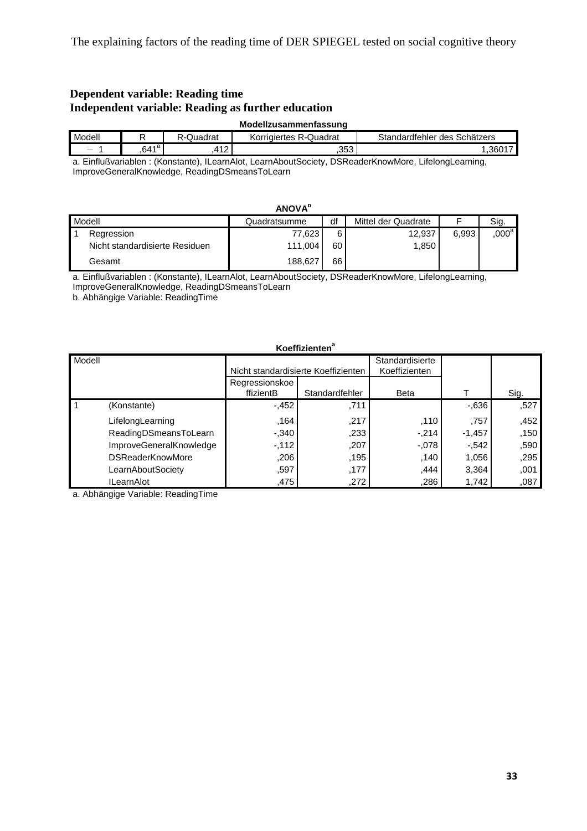# **Dependent variable: Reading time Independent variable: Reading as further education**

|               |                   |           | Modellzusammenfassung  |                              |
|---------------|-------------------|-----------|------------------------|------------------------------|
| Modell        |                   | र-Quadrat | Korrigiertes R-Quadrat | Standardfehler des Schätzers |
| <b>Alumni</b> | .641 <sup>a</sup> | 11 O      | .353                   | .3601                        |

a. Einflußvariablen : (Konstante), ILearnAlot, LearnAboutSociety, DSReaderKnowMore, LifelongLearning, ImproveGeneralKnowledge, ReadingDSmeansToLearn

|        |                                | <b>ANOVA</b> <sup>b</sup> |    |                     |       |                   |
|--------|--------------------------------|---------------------------|----|---------------------|-------|-------------------|
| Modell |                                | Quadratsumme              | df | Mittel der Quadrate |       | Sig.              |
|        | Regression                     | 77,623                    | 6  | 12,937              | 6.993 | $,000^\mathrm{a}$ |
|        | Nicht standardisierte Residuen | 111,004                   | 60 | 1,850               |       |                   |
|        | Gesamt                         | 188,627                   | 66 |                     |       |                   |

a. Einflußvariablen : (Konstante), ILearnAlot, LearnAboutSociety, DSReaderKnowMore, LifelongLearning, ImproveGeneralKnowledge, ReadingDSmeansToLearn

b. Abhängige Variable: ReadingTime

#### **Koeffizienten<sup>a</sup>**

| <b>Modell</b> |                         | Nicht standardisierte Koeffizienten |                | Standardisierte<br>Koeffizienten |          |      |
|---------------|-------------------------|-------------------------------------|----------------|----------------------------------|----------|------|
|               |                         | Regressionskoe<br>ffizientB         | Standardfehler | <b>Beta</b>                      |          | Sig. |
| 11            | (Konstante)             | $-452$                              | .711           |                                  | $-0.636$ | ,527 |
|               | LifelongLearning        | .164                                | .217           | .110                             | .757     | ,452 |
|               | ReadingDSmeansToLearn   | $-340$                              | .233           | $-214$                           | $-1,457$ | .150 |
|               | ImproveGeneralKnowledge | $-112$                              | ,207           | $-.078$                          | $-542$   | .590 |
|               | <b>DSReaderKnowMore</b> | ,206                                | .195           | .140                             | 1,056    | .295 |
|               | LearnAboutSociety       | .597                                | ,177           | ,444                             | 3,364    | ,001 |
|               | <b>ILearnAlot</b>       | .475                                | ,272           | .286                             | 1,742    | ,087 |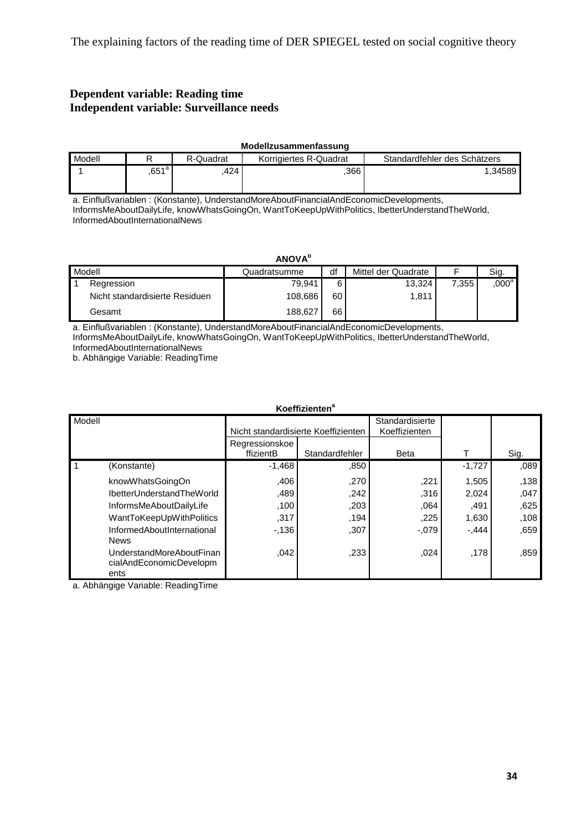# **Dependent variable: Reading time Independent variable: Surveillance needs**

|        | Modellzusammenfassung |           |                        |                              |  |  |  |  |  |
|--------|-----------------------|-----------|------------------------|------------------------------|--|--|--|--|--|
| Modell |                       | R-Quadrat | Korrigiertes R-Quadrat | Standardfehler des Schätzers |  |  |  |  |  |
|        | $,651^\circ$          | 424       | .366                   | 1.34589                      |  |  |  |  |  |

a. Einflußvariablen : (Konstante), UnderstandMoreAboutFinancialAndEconomicDevelopments, InformsMeAboutDailyLife, knowWhatsGoingOn, WantToKeepUpWithPolitics, IbetterUnderstandTheWorld, InformedAboutInternationalNews

|        |                                | <b>ANOVA</b> <sup>b</sup> |    |                     |       |                   |
|--------|--------------------------------|---------------------------|----|---------------------|-------|-------------------|
| Modell |                                | Quadratsumme              | df | Mittel der Quadrate |       | Sig.              |
|        | Regression                     | 79.941                    | 6  | 13,324              | 7.355 | ,000 <sup>a</sup> |
|        | Nicht standardisierte Residuen | 108.686                   | 60 | 1,811               |       |                   |
|        | Gesamt                         | 188,627                   | 66 |                     |       |                   |

a. Einflußvariablen : (Konstante), UnderstandMoreAboutFinancialAndEconomicDevelopments, InformsMeAboutDailyLife, knowWhatsGoingOn, WantToKeepUpWithPolitics, IbetterUnderstandTheWorld,

InformedAboutInternationalNews

b. Abhängige Variable: ReadingTime

|        | <b>Koeffizienten<sup>a</sup></b>                            |                                     |                |                                  |          |      |  |  |
|--------|-------------------------------------------------------------|-------------------------------------|----------------|----------------------------------|----------|------|--|--|
| Modell |                                                             | Nicht standardisierte Koeffizienten |                | Standardisierte<br>Koeffizienten |          |      |  |  |
|        |                                                             | Regressionskoe<br>ffizientB         | Standardfehler | <b>Beta</b>                      |          | Sig. |  |  |
| -1     | (Konstante)                                                 | $-1,468$                            | .850           |                                  | $-1,727$ | .089 |  |  |
|        | knowWhatsGoingOn                                            | ,406                                | ,270           | ,221                             | 1,505    | .138 |  |  |
|        | IbetterUnderstandTheWorld                                   | ,489                                | .242           | .316                             | 2,024    | ,047 |  |  |
|        | InformsMeAboutDailyLife                                     | ,100                                | ,203           | .064                             | .491     | .625 |  |  |
|        | WantToKeepUpWithPolitics                                    | .317                                | ,194           | ,225                             | 1,630    | .108 |  |  |
|        | InformedAboutInternational<br><b>News</b>                   | $-136$                              | ,307           | $-.079$                          | $-.444$  | .659 |  |  |
|        | UnderstandMoreAboutFinan<br>cialAndEconomicDevelopm<br>ents | 042                                 | .233           | ,024                             | .178     | .859 |  |  |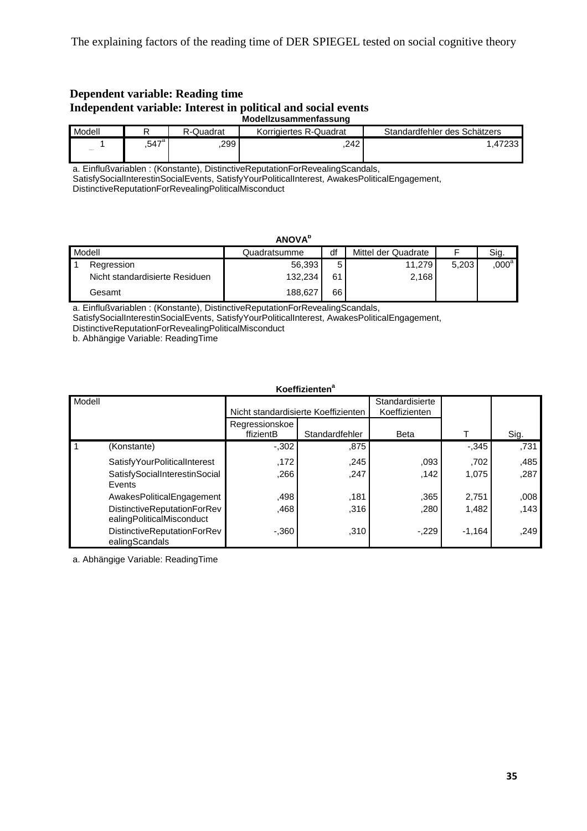#### **Dependent variable: Reading time Independent variable: Interest in political and social events Modellzusammenfassung**

| Modell |                     | R-Quadrat | Korrigiertes R-Quadrat | Standardfehler des Schätzers |
|--------|---------------------|-----------|------------------------|------------------------------|
| Abenda | $.547$ <sup>a</sup> | 299       | .242                   | -47233                       |

a. Einflußvariablen : (Konstante), DistinctiveReputationForRevealingScandals,

SatisfySocialInterestinSocialEvents, SatisfyYourPoliticalInterest, AwakesPoliticalEngagement,

DistinctiveReputationForRevealingPoliticalMisconduct

|        | <b>ANOVA</b> <sup>b</sup>      |              |    |                     |       |                   |  |  |  |
|--------|--------------------------------|--------------|----|---------------------|-------|-------------------|--|--|--|
| Modell |                                | Quadratsumme | df | Mittel der Quadrate |       | Sig.              |  |  |  |
|        | Regression                     | 56,393       |    | 11.279              | 5.203 | ,000 <sup>a</sup> |  |  |  |
|        | Nicht standardisierte Residuen | 132.234      | 61 | 2,168               |       |                   |  |  |  |
|        | Gesamt                         | 188.627      | 66 |                     |       |                   |  |  |  |

a. Einflußvariablen : (Konstante), DistinctiveReputationForRevealingScandals,

SatisfySocialInterestinSocialEvents, SatisfyYourPoliticalInterest, AwakesPoliticalEngagement,

DistinctiveReputationForRevealingPoliticalMisconduct

b. Abhängige Variable: ReadingTime

#### **Koeffizienten<sup>a</sup>**

| Modell |                                                          | Nicht standardisierte Koeffizienten |                | Standardisierte<br>Koeffizienten |          |      |
|--------|----------------------------------------------------------|-------------------------------------|----------------|----------------------------------|----------|------|
|        |                                                          | Regressionskoe<br>ffizientB         | Standardfehler | <b>Beta</b>                      |          | Sig. |
|        | (Konstante)                                              | $-.302$                             | .875           |                                  | $-0.345$ | ,731 |
|        | SatisfyYourPoliticalInterest                             | .172                                | .245           | ,093                             | .702     | ,485 |
|        | SatisfySocialInterestinSocial<br>Events                  | .266                                | .247           | .142                             | 1,075    | ,287 |
|        | AwakesPoliticalEngagement                                | .498                                | .181           | .365                             | 2,751    | 008  |
|        | DistinctiveReputationForRev<br>ealingPoliticalMisconduct | .468                                | .316           | ,280                             | 1,482    | .143 |
|        | DistinctiveReputationForRev<br>ealingScandals            | $-.360$                             | ,310           | $-229$                           | $-1,164$ | ,249 |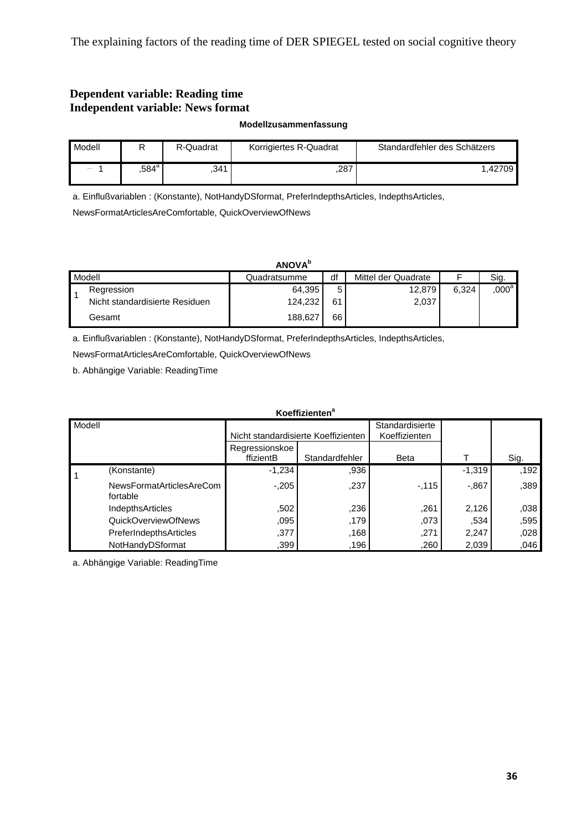# **Dependent variable: Reading time Independent variable: News format**

**Modellzusammenfassung**

| Modell                                                                                                                                                                 |                     | R-Quadrat | Korrigiertes R-Quadrat | Standardfehler des Schätzers |
|------------------------------------------------------------------------------------------------------------------------------------------------------------------------|---------------------|-----------|------------------------|------------------------------|
| $\label{eq:1} \begin{aligned} \text{where} \quad \mathcal{L}^{\text{in}}(\mathcal{L}^{\text{out}}) = \mathcal{L}^{\text{out}}(\mathcal{L}^{\text{out}}) \end{aligned}$ | $.584^{\mathrm{a}}$ | .341      | .287                   | .42709                       |

a. Einflußvariablen : (Konstante), NotHandyDSformat, PreferIndepthsArticles, IndepthsArticles,

NewsFormatArticlesAreComfortable, QuickOverviewOfNews

#### **ANOVA<sup>b</sup>**

| Modell |                                | Quadratsumme | df | Mittel der Quadrate |       | Sia.    |
|--------|--------------------------------|--------------|----|---------------------|-------|---------|
|        | Regression                     | 64,395       | 5  | 12,879              | 6.324 | $000^a$ |
|        | Nicht standardisierte Residuen | 124,232      | 61 | 2,037               |       |         |
|        | Gesamt                         | 188.627      | 66 |                     |       |         |

a. Einflußvariablen : (Konstante), NotHandyDSformat, PreferIndepthsArticles, IndepthsArticles,

NewsFormatArticlesAreComfortable, QuickOverviewOfNews

b. Abhängige Variable: ReadingTime

| Koeffizienten <sup>a</sup> |                                      |                             |                                     |                 |          |      |  |  |
|----------------------------|--------------------------------------|-----------------------------|-------------------------------------|-----------------|----------|------|--|--|
| Modell                     |                                      |                             |                                     | Standardisierte |          |      |  |  |
|                            |                                      |                             | Nicht standardisierte Koeffizienten | Koeffizienten   |          |      |  |  |
|                            |                                      | Regressionskoe<br>ffizientB | Standardfehler                      | <b>Beta</b>     |          | Sig. |  |  |
|                            | (Konstante)                          | $-1,234$                    | .936                                |                 | $-1,319$ | .192 |  |  |
|                            | NewsFormatArticlesAreCom<br>fortable | $-205$                      | ,237                                | $-115$          | $-0.867$ | .389 |  |  |
|                            | IndepthsArticles                     | .502                        | .236                                | .261            | 2,126    | .038 |  |  |
|                            | QuickOverviewOfNews                  | ,095                        | .179                                | ,073            | .534     | .595 |  |  |
|                            | PreferIndepthsArticles               | ,377                        | .168                                | ,271            | 2,247    | .028 |  |  |
|                            | NotHandyDSformat                     | ,399                        | .196                                | .260            | 2,039    | .046 |  |  |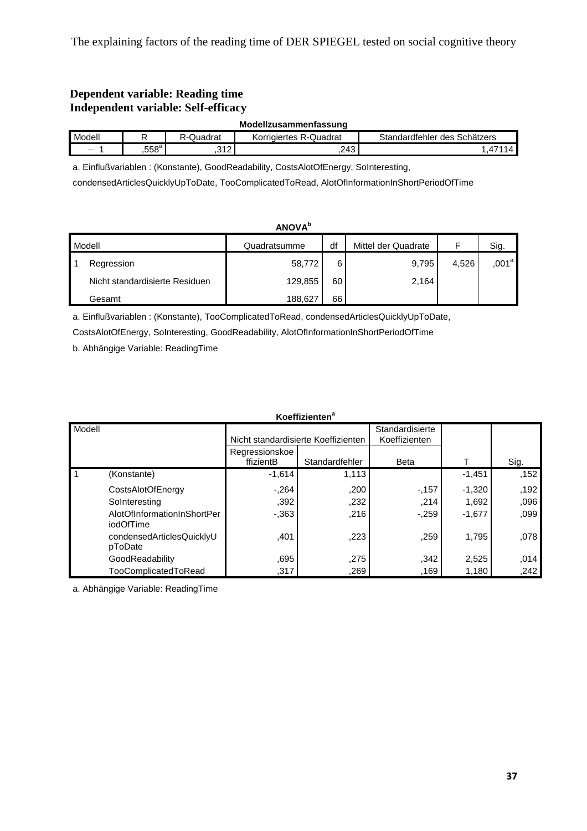# **Dependent variable: Reading time Independent variable: Self-efficacy**

| Modellzusammenfassung |
|-----------------------|
|-----------------------|

| Modell |              | Quadrat  | Quadrat<br>Korrigiertes<br>५- । | Schätzers<br>undardtehler<br>des |
|--------|--------------|----------|---------------------------------|----------------------------------|
| Abraha | EEOª<br>.558 | 242<br>. | .243                            | . .                              |

a. Einflußvariablen : (Konstante), GoodReadability, CostsAlotOfEnergy, SoInteresting,

condensedArticlesQuicklyUpToDate, TooComplicatedToRead, AlotOfInformationInShortPeriodOfTime

|        | <b>ANOVA</b> <sup>b</sup>      |              |    |                     |       |                 |  |  |  |
|--------|--------------------------------|--------------|----|---------------------|-------|-----------------|--|--|--|
| Modell |                                | Quadratsumme | df | Mittel der Quadrate |       | Sig.            |  |  |  |
|        | Regression                     | 58,772       | 6  | 9,795               | 4,526 | $,001^\text{a}$ |  |  |  |
|        | Nicht standardisierte Residuen | 129,855      | 60 | 2,164               |       |                 |  |  |  |
|        | Gesamt                         | 188,627      | 66 |                     |       |                 |  |  |  |

a. Einflußvariablen : (Konstante), TooComplicatedToRead, condensedArticlesQuicklyUpToDate,

CostsAlotOfEnergy, SoInteresting, GoodReadability, AlotOfInformationInShortPeriodOfTime

b. Abhängige Variable: ReadingTime

|        | <b>Koeffizienten<sup>a</sup></b>         |                                     |                |                                  |          |      |  |  |
|--------|------------------------------------------|-------------------------------------|----------------|----------------------------------|----------|------|--|--|
| Modell |                                          | Nicht standardisierte Koeffizienten |                | Standardisierte<br>Koeffizienten |          |      |  |  |
|        |                                          | Regressionskoe<br>ffizientB         | Standardfehler | <b>Beta</b>                      |          | Sig. |  |  |
| 1      | (Konstante)                              | $-1,614$                            | 1,113          |                                  | $-1,451$ | ,152 |  |  |
|        | CostsAlotOfEnergy                        | $-.264$                             | ,200           | $-157$                           | $-1.320$ | .192 |  |  |
|        | SoInteresting                            | ,392                                | .232           | ,214                             | 1.692    | .096 |  |  |
|        | AlotOfInformationInShortPer<br>iodOfTime | $-0.363$                            | .216           | $-0.259$                         | $-1,677$ | .099 |  |  |
|        | condensedArticlesQuicklyU<br>pToDate     | .401                                | .223           | .259                             | 1.795    | .078 |  |  |
|        | GoodReadability                          | ,695                                | .275           | ,342                             | 2,525    | .014 |  |  |
|        | TooComplicatedToRead                     | .317                                | .269           | .169                             | 1,180    | ,242 |  |  |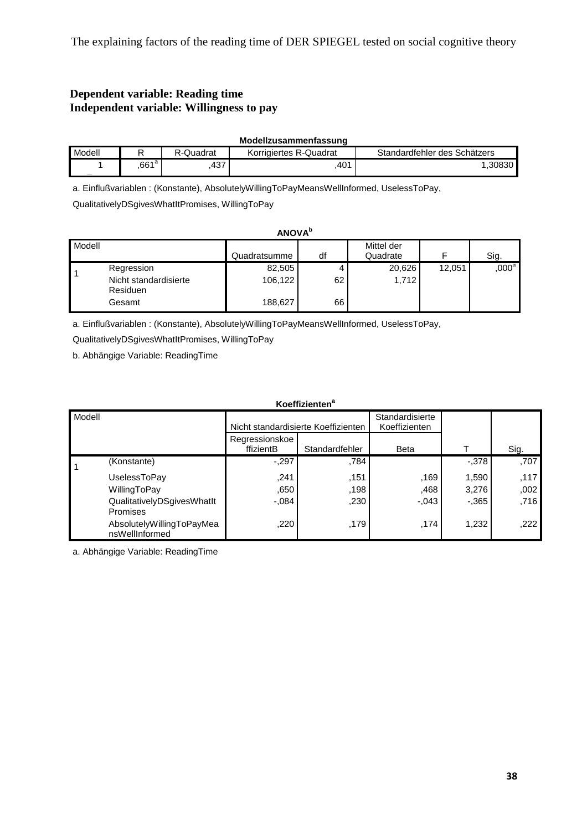# **Dependent variable: Reading time Independent variable: Willingness to pay**

|        |                  |           | Modellzusammenfassung  |                              |
|--------|------------------|-----------|------------------------|------------------------------|
| Modell |                  | R-Quadrat | Korrigiertes R-Quadrat | Standardfehler des Schätzers |
|        | 661 <sup>a</sup> | 437       | 401                    | 1.30830                      |

a. Einflußvariablen : (Konstante), AbsolutelyWillingToPayMeansWellInformed, UselessToPay,

QualitativelyDSgivesWhatItPromises, WillingToPay

| <b>ANOVA</b> <sup>b</sup> |                                                                  |                              |          |                        |        |                   |  |
|---------------------------|------------------------------------------------------------------|------------------------------|----------|------------------------|--------|-------------------|--|
| Modell                    |                                                                  | Quadratsumme                 | df       | Mittel der<br>Quadrate |        | Sig.              |  |
|                           | Regression<br>Nicht standardisierte<br><b>Residuen</b><br>Gesamt | 82,505<br>106,122<br>188,627 | 62<br>66 | 20,626<br>1,712        | 12,051 | $,000^\mathrm{a}$ |  |

a. Einflußvariablen : (Konstante), AbsolutelyWillingToPayMeansWellInformed, UselessToPay,

QualitativelyDSgivesWhatItPromises, WillingToPay

b. Abhängige Variable: ReadingTime

#### **Koeffizienten<sup>a</sup>**

| Modell |                                             | Nicht standardisierte Koeffizienten |                | Standardisierte<br>Koeffizienten |          |      |
|--------|---------------------------------------------|-------------------------------------|----------------|----------------------------------|----------|------|
|        |                                             | Regressionskoe<br>ffizientB         | Standardfehler | <b>Beta</b>                      |          | Sig. |
| l 1    | (Konstante)                                 | $-.297$                             | .784           |                                  | $-0.378$ | ,707 |
|        | UselessToPay                                | .241                                | .151           | ,169                             | 1,590    | .117 |
|        | WillingToPay                                | ,650                                | .198           | ,468                             | 3,276    | .002 |
|        | QualitativelyDSgivesWhatIt<br>Promises      | $-.084$                             | .230           | $-.043$                          | $-0.365$ | .716 |
|        | AbsolutelyWillingToPayMea<br>nsWellInformed | .220                                | .179           | .174                             | 1,232    | .222 |